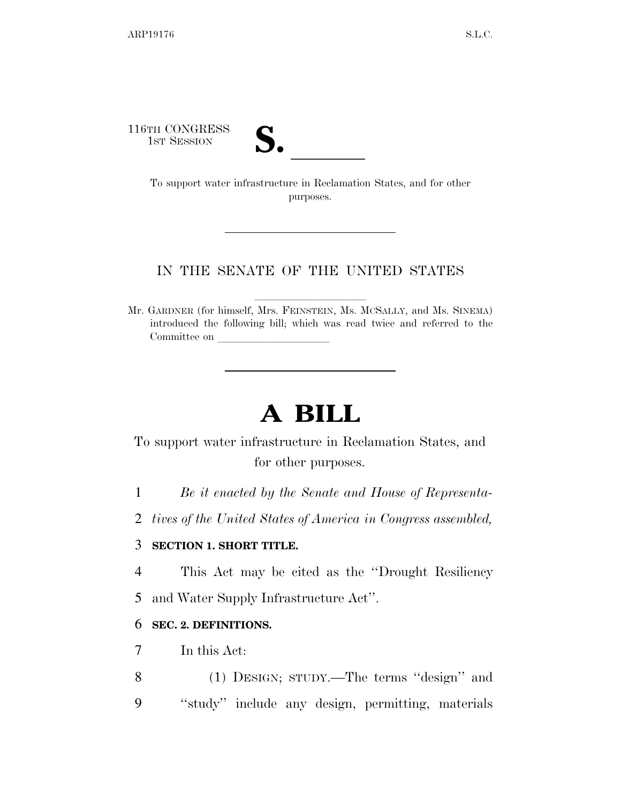116TH CONGRESS

TH CONGRESS<br>
1st Session<br>
To support water infrastructure in Reclamation States, and for other purposes.

## IN THE SENATE OF THE UNITED STATES

Mr. GARDNER (for himself, Mrs. FEINSTEIN, Ms. MCSALLY, and Ms. SINEMA) introduced the following bill; which was read twice and referred to the Committee on

# **A BILL**

To support water infrastructure in Reclamation States, and for other purposes.

1 *Be it enacted by the Senate and House of Representa-*

2 *tives of the United States of America in Congress assembled,* 

#### 3 **SECTION 1. SHORT TITLE.**

4 This Act may be cited as the ''Drought Resiliency 5 and Water Supply Infrastructure Act''.

# 6 **SEC. 2. DEFINITIONS.**

- 7 In this Act:
- 8 (1) DESIGN; STUDY.—The terms ''design'' and 9 ''study'' include any design, permitting, materials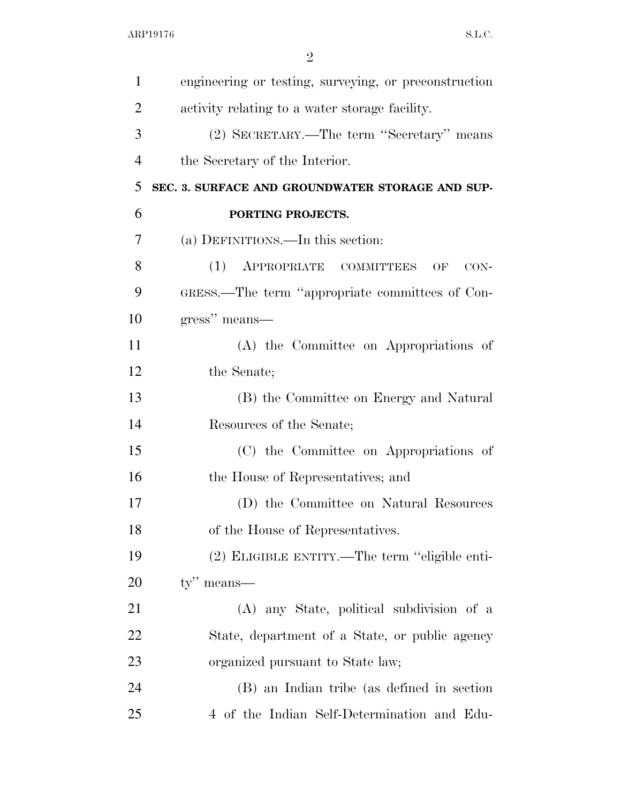| $\mathbf{1}$   | engineering or testing, surveying, or preconstruction |
|----------------|-------------------------------------------------------|
| $\overline{2}$ | activity relating to a water storage facility.        |
| 3              | (2) SECRETARY.—The term "Secretary" means             |
| $\overline{4}$ | the Secretary of the Interior.                        |
| 5              | SEC. 3. SURFACE AND GROUNDWATER STORAGE AND SUP-      |
| 6              | PORTING PROJECTS.                                     |
| 7              | (a) DEFINITIONS.—In this section:                     |
| 8              | (1)<br>APPROPRIATE COMMITTEES<br>OF<br>$CON-$         |
| 9              | GRESS.—The term "appropriate committees of Con-       |
| 10             | gress" means-                                         |
| 11             | (A) the Committee on Appropriations of                |
| 12             | the Senate;                                           |
| 13             | (B) the Committee on Energy and Natural               |
| 14             | Resources of the Senate;                              |
| 15             | (C) the Committee on Appropriations of                |
| 16             | the House of Representatives; and                     |
| 17             | (D) the Committee on Natural Resources                |
| 18             | of the House of Representatives.                      |
| 19             | (2) ELIGIBLE ENTITY.—The term "eligible enti-         |
| 20             | $ty''$ means—                                         |
| 21             | (A) any State, political subdivision of a             |
| 22             | State, department of a State, or public agency        |
| 23             | organized pursuant to State law;                      |
| 24             | (B) an Indian tribe (as defined in section            |
| 25             | 4 of the Indian Self-Determination and Edu-           |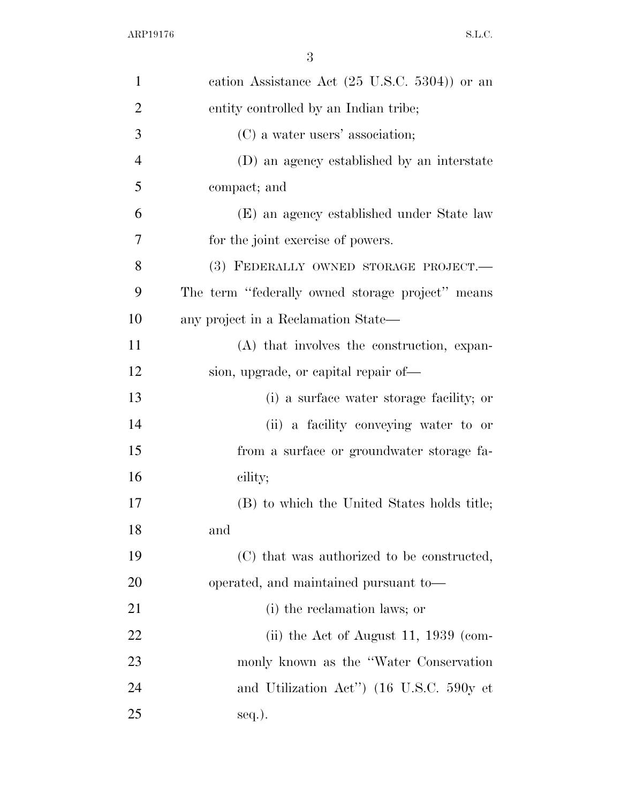| $\mathbf{1}$   | cation Assistance Act $(25 \text{ U.S.C. } 5304)$ or an |
|----------------|---------------------------------------------------------|
| $\overline{2}$ | entity controlled by an Indian tribe;                   |
| 3              | (C) a water users' association;                         |
| $\overline{4}$ | (D) an agency established by an interstate              |
| 5              | compact; and                                            |
| 6              | (E) an agency established under State law               |
| 7              | for the joint exercise of powers.                       |
| 8              | (3) FEDERALLY OWNED STORAGE PROJECT.-                   |
| 9              | The term "federally owned storage project" means        |
| 10             | any project in a Reclamation State—                     |
| 11             | (A) that involves the construction, expan-              |
| 12             | sion, upgrade, or capital repair of—                    |
| 13             | (i) a surface water storage facility; or                |
| 14             | (ii) a facility conveying water to or                   |
| 15             | from a surface or groundwater storage fa-               |
| 16             | cility;                                                 |
| 17             | (B) to which the United States holds title;             |
| 18             | and                                                     |
| 19             | (C) that was authorized to be constructed,              |
| 20             | operated, and maintained pursuant to-                   |
| 21             | (i) the reclamation laws; or                            |
| 22             | (ii) the Act of August 11, $1939$ (com-                 |
| 23             | monly known as the "Water Conservation"                 |
| 24             | and Utilization Act") (16 U.S.C. 590y et                |
| 25             | seq.).                                                  |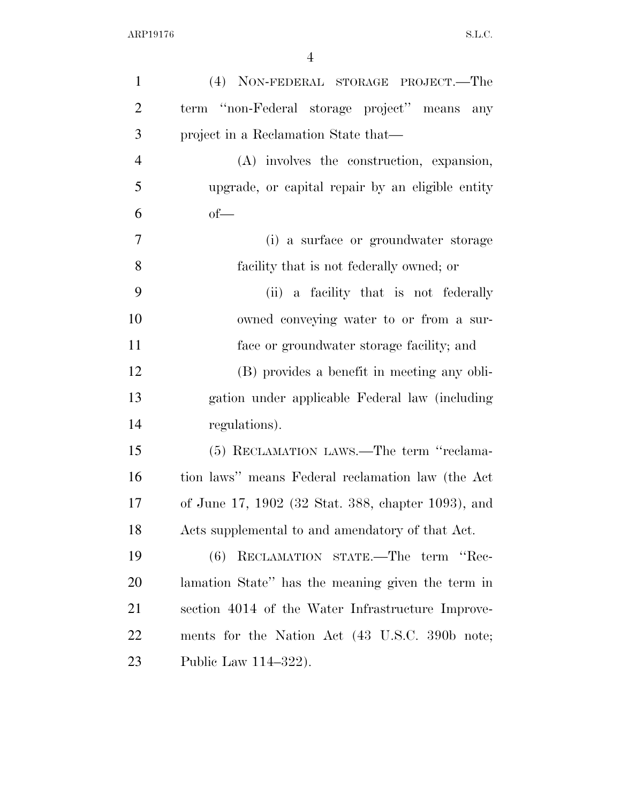| $\mathbf{1}$   | (4) NON-FEDERAL STORAGE PROJECT.—The               |
|----------------|----------------------------------------------------|
| $\mathbf{2}$   | term "non-Federal storage project" means<br>any    |
| 3              | project in a Reclamation State that—               |
| $\overline{4}$ | (A) involves the construction, expansion,          |
| 5              | upgrade, or capital repair by an eligible entity   |
| 6              | $of$ —                                             |
| $\tau$         | (i) a surface or groundwater storage               |
| 8              | facility that is not federally owned; or           |
| 9              | (ii) a facility that is not federally              |
| 10             | owned conveying water to or from a sur-            |
| 11             | face or groundwater storage facility; and          |
| 12             | (B) provides a benefit in meeting any obli-        |
| 13             | gation under applicable Federal law (including     |
| 14             | regulations).                                      |
| 15             | (5) RECLAMATION LAWS.—The term "reclama-           |
| 16             | tion laws" means Federal reclamation law (the Act  |
| 17             | of June 17, 1902 (32 Stat. 388, chapter 1093), and |
| 18             | Acts supplemental to and amendatory of that Act.   |
| 19             | RECLAMATION STATE.—The term "Rec-<br>(6)           |
| 20             | lamation State" has the meaning given the term in  |
| 21             | section 4014 of the Water Infrastructure Improve-  |
| 22             | ments for the Nation Act (43 U.S.C. 390b note;     |
| 23             | Public Law 114-322).                               |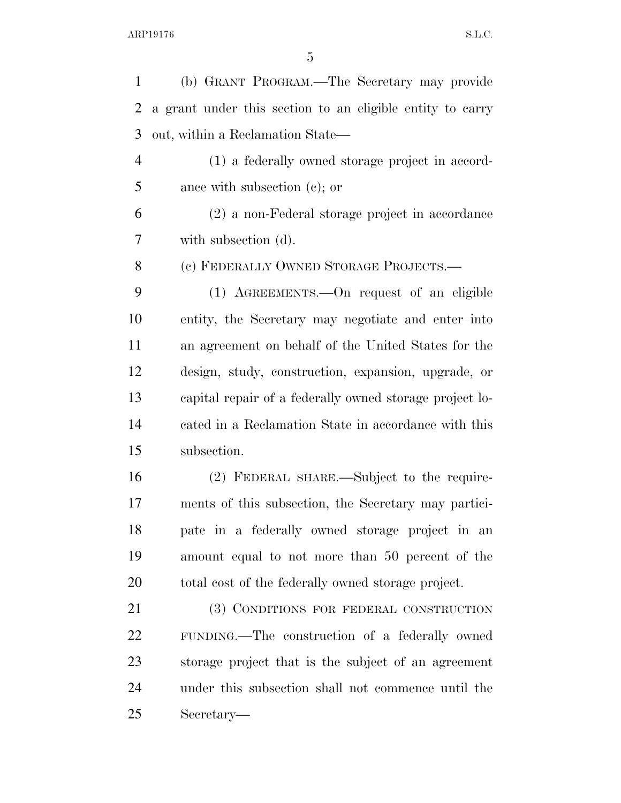(b) GRANT PROGRAM.—The Secretary may provide a grant under this section to an eligible entity to carry out, within a Reclamation State— (1) a federally owned storage project in accord- ance with subsection (c); or (2) a non-Federal storage project in accordance with subsection (d). (c) FEDERALLY OWNED STORAGE PROJECTS.— (1) AGREEMENTS.—On request of an eligible entity, the Secretary may negotiate and enter into an agreement on behalf of the United States for the design, study, construction, expansion, upgrade, or capital repair of a federally owned storage project lo- cated in a Reclamation State in accordance with this subsection. (2) FEDERAL SHARE.—Subject to the require- ments of this subsection, the Secretary may partici- pate in a federally owned storage project in an amount equal to not more than 50 percent of the total cost of the federally owned storage project. 21 (3) CONDITIONS FOR FEDERAL CONSTRUCTION FUNDING.—The construction of a federally owned storage project that is the subject of an agreement under this subsection shall not commence until the

Secretary—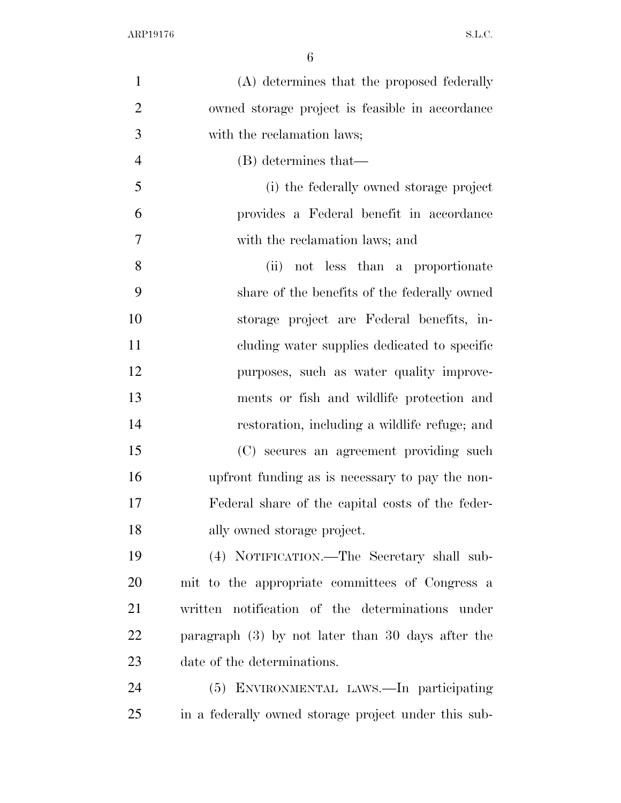| $\mathbf{1}$   | (A) determines that the proposed federally           |
|----------------|------------------------------------------------------|
| $\overline{2}$ | owned storage project is feasible in accordance      |
| 3              | with the reclamation laws;                           |
| $\overline{4}$ | (B) determines that—                                 |
| 5              | (i) the federally owned storage project              |
| 6              | provides a Federal benefit in accordance             |
| $\overline{7}$ | with the reclamation laws; and                       |
| 8              | not less than a proportionate<br>(ii)                |
| 9              | share of the benefits of the federally owned         |
| 10             | storage project are Federal benefits, in-            |
| 11             | cluding water supplies dedicated to specific         |
| 12             | purposes, such as water quality improve-             |
| 13             | ments or fish and wildlife protection and            |
| 14             | restoration, including a wildlife refuge; and        |
| 15             | (C) secures an agreement providing such              |
| 16             | upfront funding as is necessary to pay the non-      |
| 17             | Federal share of the capital costs of the feder-     |
| 18             | ally owned storage project.                          |
| 19             | (4) NOTIFICATION.—The Secretary shall sub-           |
| 20             | mit to the appropriate committees of Congress a      |
| 21             | written notification of the determinations under     |
| 22             | paragraph $(3)$ by not later than 30 days after the  |
| 23             | date of the determinations.                          |
| 24             | (5) ENVIRONMENTAL LAWS.—In participating             |
| 25             | in a federally owned storage project under this sub- |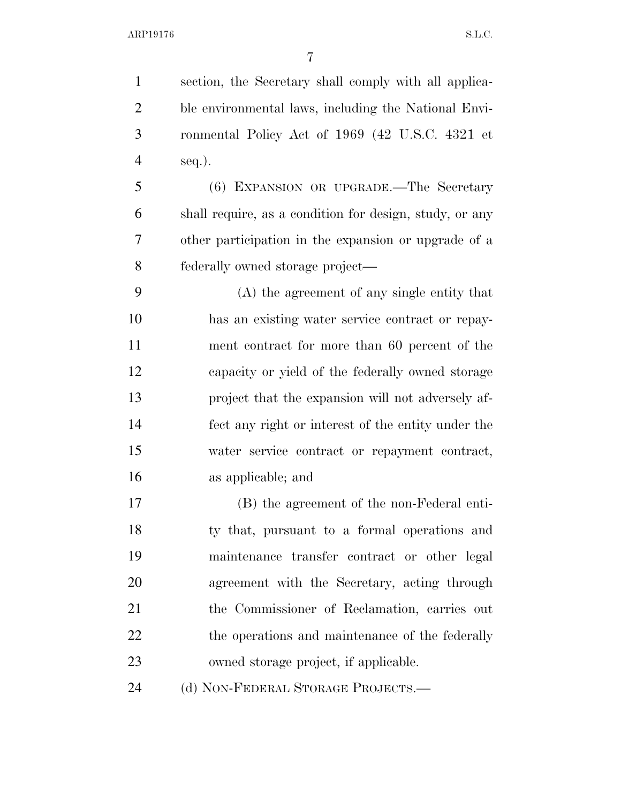section, the Secretary shall comply with all applica- ble environmental laws, including the National Envi- ronmental Policy Act of 1969 (42 U.S.C. 4321 et seq.).

 (6) EXPANSION OR UPGRADE.—The Secretary shall require, as a condition for design, study, or any other participation in the expansion or upgrade of a federally owned storage project—

 (A) the agreement of any single entity that has an existing water service contract or repay- ment contract for more than 60 percent of the capacity or yield of the federally owned storage project that the expansion will not adversely af- fect any right or interest of the entity under the water service contract or repayment contract, as applicable; and

 (B) the agreement of the non-Federal enti- ty that, pursuant to a formal operations and maintenance transfer contract or other legal agreement with the Secretary, acting through the Commissioner of Reclamation, carries out 22 the operations and maintenance of the federally owned storage project, if applicable.

24 (d) NON-FEDERAL STORAGE PROJECTS.—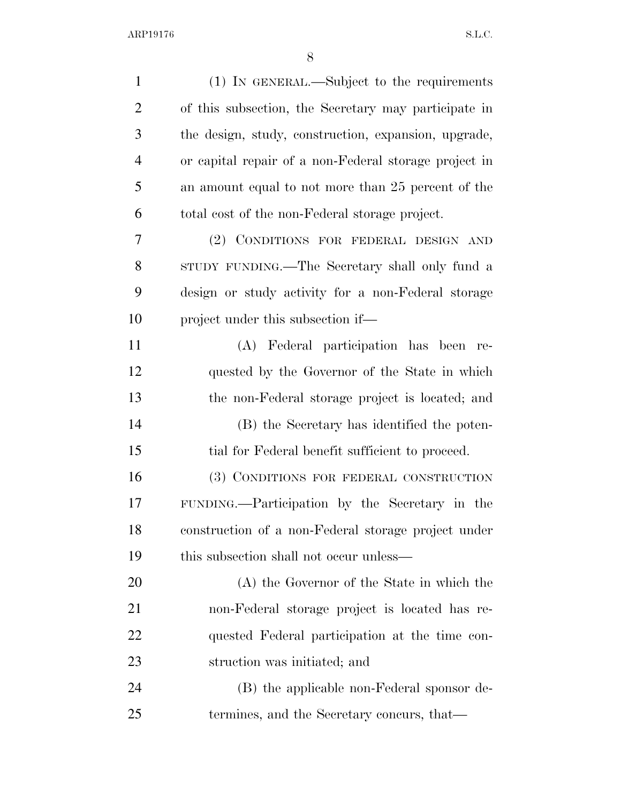| $\mathbf{1}$   | (1) IN GENERAL.—Subject to the requirements           |
|----------------|-------------------------------------------------------|
| $\overline{2}$ | of this subsection, the Secretary may participate in  |
| 3              | the design, study, construction, expansion, upgrade,  |
| $\overline{4}$ | or capital repair of a non-Federal storage project in |
| 5              | an amount equal to not more than 25 percent of the    |
| 6              | total cost of the non-Federal storage project.        |
| 7              | (2) CONDITIONS FOR FEDERAL DESIGN AND                 |
| 8              | STUDY FUNDING.—The Secretary shall only fund a        |
| 9              | design or study activity for a non-Federal storage    |
| 10             | project under this subsection if—                     |
| 11             | (A) Federal participation has been<br>re-             |
| 12             | quested by the Governor of the State in which         |
| 13             | the non-Federal storage project is located; and       |
| 14             | (B) the Secretary has identified the poten-           |
| 15             | tial for Federal benefit sufficient to proceed.       |
| 16             | (3) CONDITIONS FOR FEDERAL CONSTRUCTION               |
| 17             | FUNDING.—Participation by the Secretary in the        |
| 18             | construction of a non-Federal storage project under   |
| 19             | this subsection shall not occur unless—               |
| 20             | (A) the Governor of the State in which the            |
| 21             | non-Federal storage project is located has re-        |
| 22             | quested Federal participation at the time con-        |
| 23             | struction was initiated; and                          |
| 24             | (B) the applicable non-Federal sponsor de-            |
| 25             | termines, and the Secretary concurs, that—            |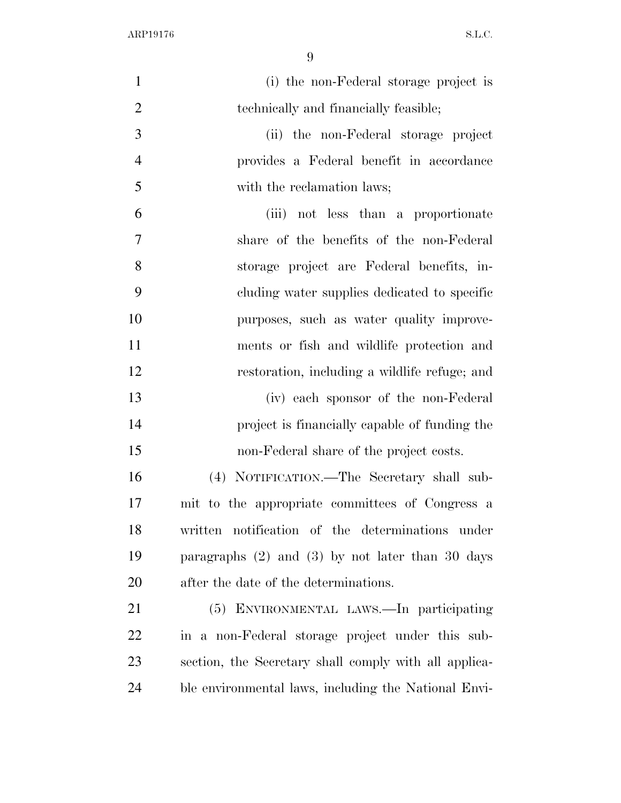| $\mathbf{1}$   | (i) the non-Federal storage project is                |
|----------------|-------------------------------------------------------|
| $\overline{2}$ | technically and financially feasible;                 |
| 3              | (ii) the non-Federal storage project                  |
| $\overline{4}$ | provides a Federal benefit in accordance              |
| 5              | with the reclamation laws;                            |
| 6              | (iii) not less than a proportionate                   |
| 7              | share of the benefits of the non-Federal              |
| 8              | storage project are Federal benefits, in-             |
| 9              | cluding water supplies dedicated to specific          |
| 10             | purposes, such as water quality improve-              |
| 11             | ments or fish and wildlife protection and             |
| 12             | restoration, including a wildlife refuge; and         |
| 13             | (iv) each sponsor of the non-Federal                  |
| 14             | project is financially capable of funding the         |
| 15             | non-Federal share of the project costs.               |
| 16             | (4) NOTIFICATION.—The Secretary shall sub-            |
| 17             | mit to the appropriate committees of Congress a       |
| 18             | written notification of the determinations under      |
| 19             | paragraphs $(2)$ and $(3)$ by not later than 30 days  |
| 20             | after the date of the determinations.                 |
| 21             | (5) ENVIRONMENTAL LAWS.—In participating              |
| <u>22</u>      | in a non-Federal storage project under this sub-      |
| 23             | section, the Secretary shall comply with all applica- |
| 24             | ble environmental laws, including the National Envi-  |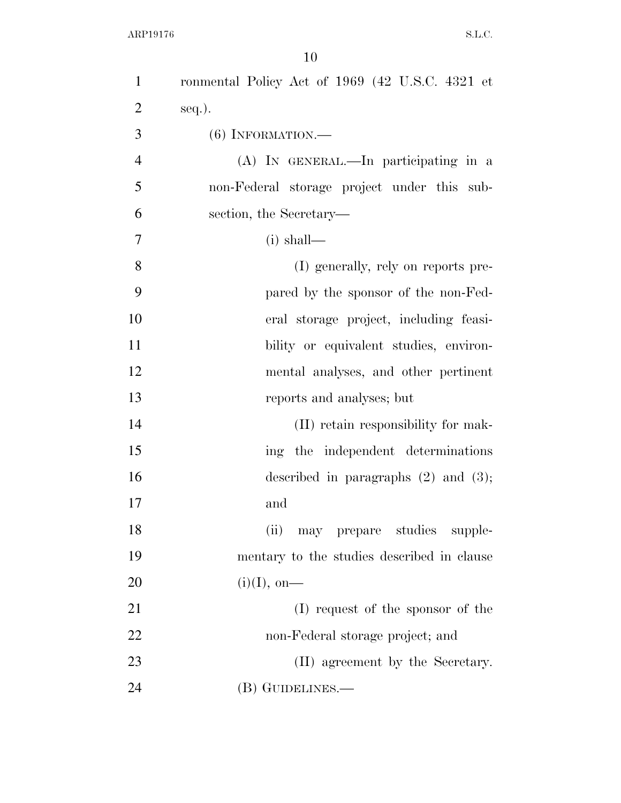| $\mathbf{1}$   | ronmental Policy Act of 1969 (42 U.S.C. 4321 et |
|----------------|-------------------------------------------------|
| $\overline{2}$ | $seq.$ ).                                       |
| 3              | $(6)$ INFORMATION.—                             |
| $\overline{4}$ | (A) IN GENERAL.—In participating in a           |
| 5              | non-Federal storage project under this sub-     |
| 6              | section, the Secretary—                         |
| 7              | $(i)$ shall—                                    |
| 8              | (I) generally, rely on reports pre-             |
| 9              | pared by the sponsor of the non-Fed-            |
| 10             | eral storage project, including feasi-          |
| 11             | bility or equivalent studies, environ-          |
| 12             | mental analyses, and other pertinent            |
| 13             | reports and analyses; but                       |
| 14             | (II) retain responsibility for mak-             |
| 15             | ing the independent determinations              |
| 16             | described in paragraphs $(2)$ and $(3)$ ;       |
| 17             | and                                             |
| 18             | (ii)<br>may prepare studies<br>supple-          |
| 19             | mentary to the studies described in clause      |
| 20             | $(i)(I),$ on—                                   |
| 21             | (I) request of the sponsor of the               |
| 22             | non-Federal storage project; and                |
| 23             | (II) agreement by the Secretary.                |
| 24             | (B) GUIDELINES.—                                |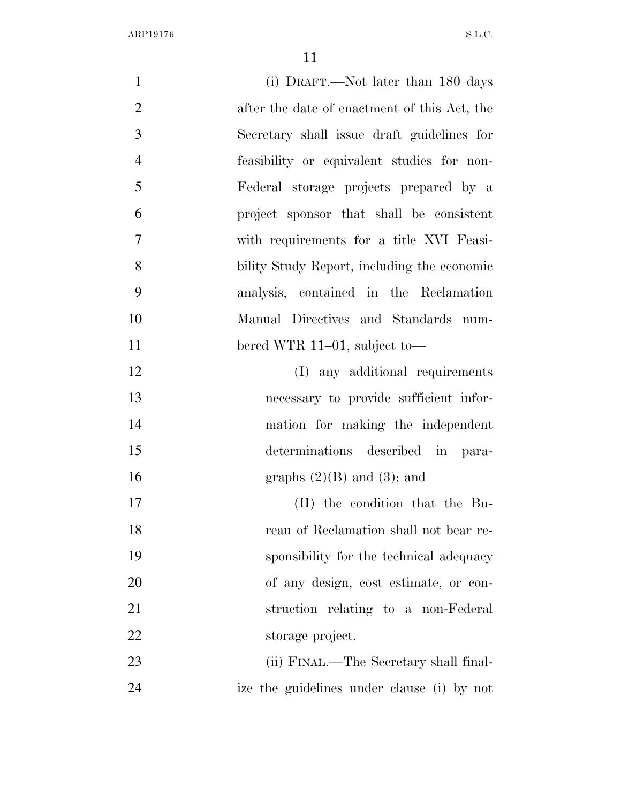| $\mathbf{1}$   | (i) DRAFT.—Not later than 180 days           |
|----------------|----------------------------------------------|
| $\overline{2}$ | after the date of enactment of this Act, the |
| 3              | Secretary shall issue draft guidelines for   |
| $\overline{4}$ | feasibility or equivalent studies for non-   |
| 5              | Federal storage projects prepared by a       |
| 6              | project sponsor that shall be consistent     |
| 7              | with requirements for a title XVI Feasi-     |
| 8              | bility Study Report, including the economic  |
| 9              | analysis, contained in the Reclamation       |
| 10             | Manual Directives and Standards num-         |
| 11             | bered WTR 11–01, subject to—                 |
| 12             | (I) any additional requirements              |
| 13             | necessary to provide sufficient infor-       |
| 14             | mation for making the independent            |
| 15             | determinations described in para-            |
| 16             | graphs $(2)(B)$ and $(3)$ ; and              |
| 17             | (II) the condition that the Bu-              |
| 18             | reau of Reclamation shall not bear re-       |
| 19             | sponsibility for the technical adequacy      |
| 20             | of any design, cost estimate, or con-        |
| 21             | struction relating to a non-Federal          |
| 22             | storage project.                             |
| 23             | (ii) FINAL.—The Secretary shall final-       |
| 24             | ize the guidelines under clause (i) by not   |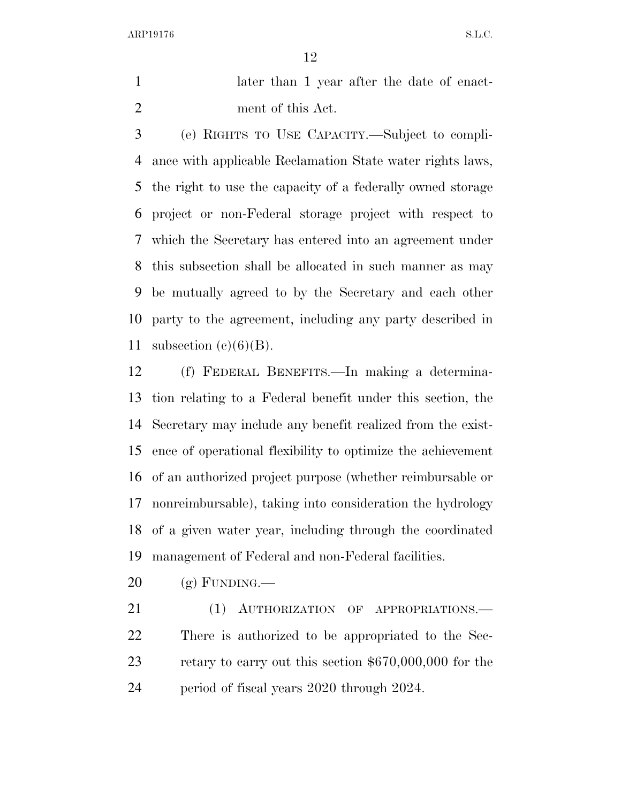1 later than 1 year after the date of enact-ment of this Act.

 (e) RIGHTS TO USE CAPACITY.—Subject to compli- ance with applicable Reclamation State water rights laws, the right to use the capacity of a federally owned storage project or non-Federal storage project with respect to which the Secretary has entered into an agreement under this subsection shall be allocated in such manner as may be mutually agreed to by the Secretary and each other party to the agreement, including any party described in 11 subsection  $(e)(6)(B)$ .

 (f) FEDERAL BENEFITS.—In making a determina- tion relating to a Federal benefit under this section, the Secretary may include any benefit realized from the exist- ence of operational flexibility to optimize the achievement of an authorized project purpose (whether reimbursable or nonreimbursable), taking into consideration the hydrology of a given water year, including through the coordinated management of Federal and non-Federal facilities.

 $20 \quad$  (g) FUNDING.—

21 (1) AUTHORIZATION OF APPROPRIATIONS.— There is authorized to be appropriated to the Sec- retary to carry out this section \$670,000,000 for the period of fiscal years 2020 through 2024.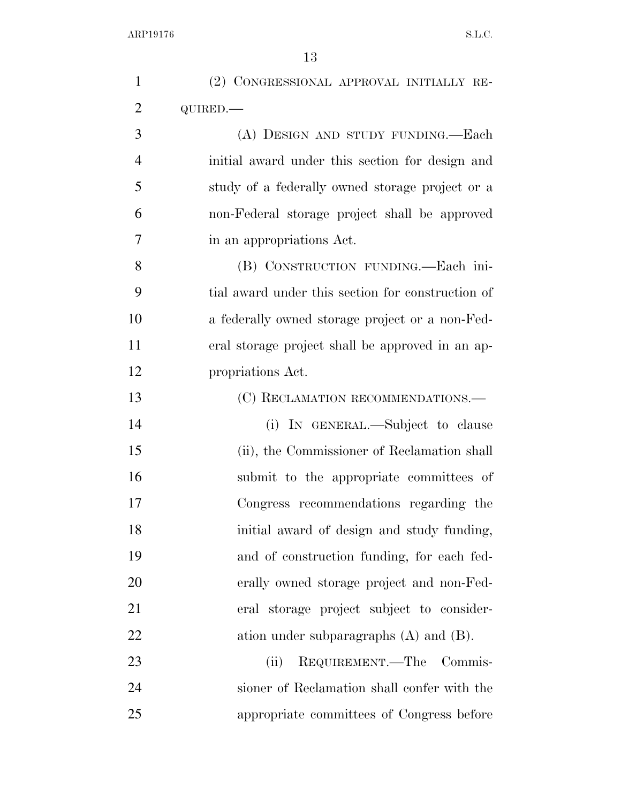| $\mathbf{1}$   | (2) CONGRESSIONAL APPROVAL INITIALLY RE-          |
|----------------|---------------------------------------------------|
| $\overline{2}$ | QUIRED.-                                          |
| 3              | (A) DESIGN AND STUDY FUNDING.—Each                |
| $\overline{4}$ | initial award under this section for design and   |
| 5              | study of a federally owned storage project or a   |
| 6              | non-Federal storage project shall be approved     |
| 7              | in an appropriations Act.                         |
| 8              | (B) CONSTRUCTION FUNDING.—Each ini-               |
| 9              | tial award under this section for construction of |
| 10             | a federally owned storage project or a non-Fed-   |
| 11             | eral storage project shall be approved in an ap-  |
| 12             | propriations Act.                                 |
| 13             | (C) RECLAMATION RECOMMENDATIONS.—                 |
| 14             | (i) IN GENERAL.—Subject to clause                 |
| 15             | (ii), the Commissioner of Reclamation shall       |
| 16             | submit to the appropriate committees of           |
| 17             | Congress recommendations regarding the            |
| 18             | initial award of design and study funding,        |
| 19             | and of construction funding, for each fed-        |
| 20             | erally owned storage project and non-Fed-         |
| 21             | eral storage project subject to consider-         |
| 22             | ation under subparagraphs $(A)$ and $(B)$ .       |
| 23             | REQUIREMENT.—The Commis-<br>(ii)                  |
| 24             | sioner of Reclamation shall confer with the       |
| 25             | appropriate committees of Congress before         |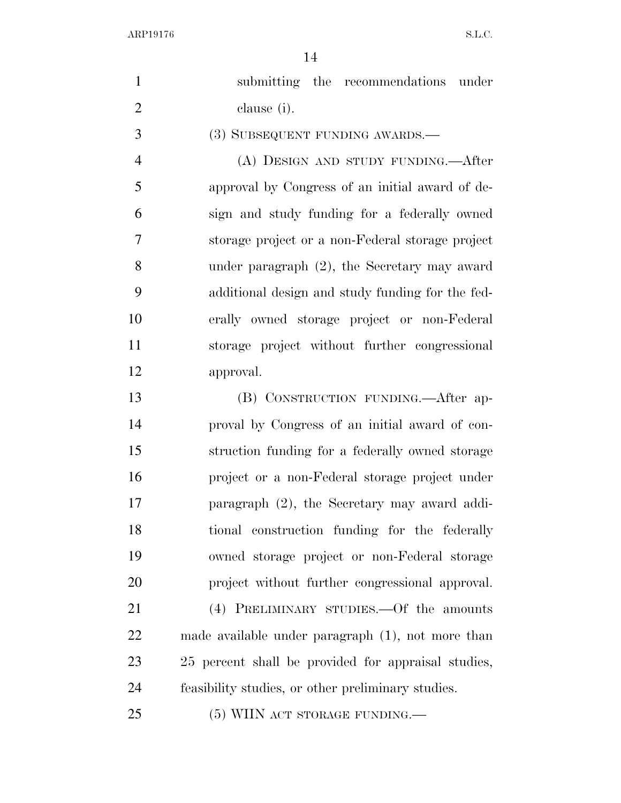| $\mathbf{1}$   | submitting the recommendations under                |
|----------------|-----------------------------------------------------|
| $\overline{2}$ | clause (i).                                         |
| 3              | (3) SUBSEQUENT FUNDING AWARDS.—                     |
| 4              | (A) DESIGN AND STUDY FUNDING.—After                 |
| 5              | approval by Congress of an initial award of de-     |
| 6              | sign and study funding for a federally owned        |
| 7              | storage project or a non-Federal storage project    |
| 8              | under paragraph $(2)$ , the Secretary may award     |
| 9              | additional design and study funding for the fed-    |
| 10             | erally owned storage project or non-Federal         |
| 11             | storage project without further congressional       |
| 12             | approval.                                           |
| 13             | (B) CONSTRUCTION FUNDING.—After ap-                 |
| 14             | proval by Congress of an initial award of con-      |
| 15             | struction funding for a federally owned storage     |
| 16             | project or a non-Federal storage project under      |
| 17             | paragraph (2), the Secretary may award addi-        |
| 18             | tional construction funding for the federally       |
| 19             | owned storage project or non-Federal storage        |
| 20             | project without further congressional approval.     |
| 21             | (4) PRELIMINARY STUDIES.—Of the amounts             |
| 22             | made available under paragraph (1), not more than   |
| 23             | 25 percent shall be provided for appraisal studies, |
| 24             | feasibility studies, or other preliminary studies.  |
| 25             | $(5)$ WIIN ACT STORAGE FUNDING.—                    |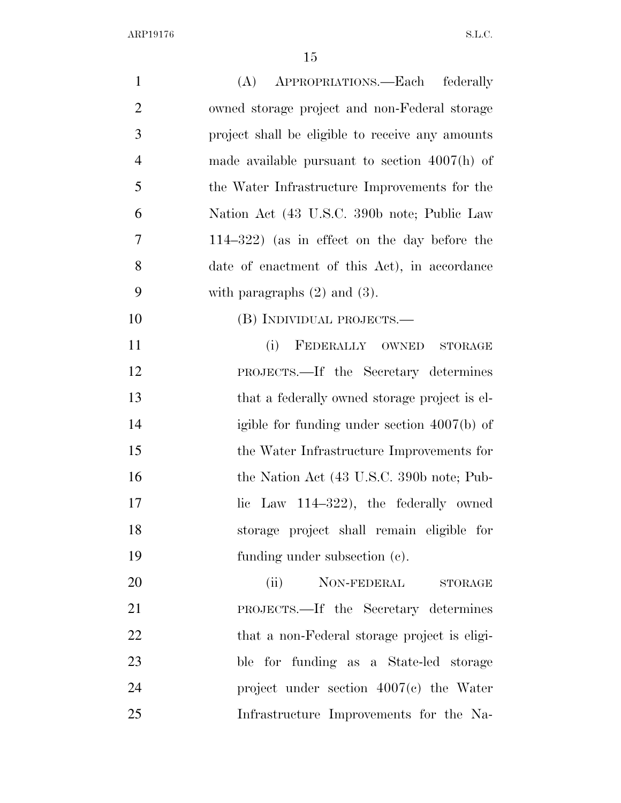| $\mathbf{1}$   | (A) APPROPRIATIONS.—Each federally               |
|----------------|--------------------------------------------------|
| $\overline{2}$ | owned storage project and non-Federal storage    |
| 3              | project shall be eligible to receive any amounts |
| $\overline{4}$ | made available pursuant to section $4007(h)$ of  |
| 5              | the Water Infrastructure Improvements for the    |
| 6              | Nation Act (43 U.S.C. 390b note; Public Law      |
| 7              | $114-322$ ) (as in effect on the day before the  |
| 8              | date of enactment of this Act), in accordance    |
| 9              | with paragraphs $(2)$ and $(3)$ .                |
| 10             | (B) INDIVIDUAL PROJECTS.—                        |
| 11             | (i)<br>FEDERALLY OWNED<br><b>STORAGE</b>         |
| 12             | PROJECTS.—If the Secretary determines            |
| 13             | that a federally owned storage project is el-    |
| 14             | igible for funding under section $4007(b)$ of    |
| 15             | the Water Infrastructure Improvements for        |
| 16             | the Nation Act (43 U.S.C. 390b note; Pub-        |
| 17             | Law $114-322$ , the federally owned<br>lic       |
| 18             | storage project shall remain eligible for        |
| 19             | funding under subsection (c).                    |
| 20             | NON-FEDERAL<br>(ii)<br><b>STORAGE</b>            |
| 21             | PROJECTS.—If the Secretary determines            |
| 22             | that a non-Federal storage project is eligi-     |
| 23             | ble for funding as a State-led storage           |
| 24             | project under section $4007(c)$ the Water        |
| 25             | Infrastructure Improvements for the Na-          |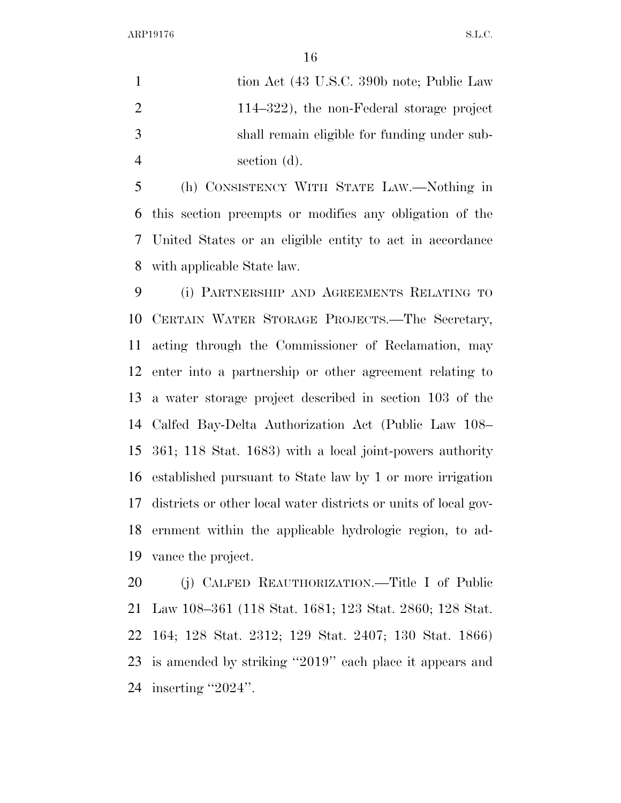1 tion Act (43 U.S.C. 390b note; Public Law 114–322), the non-Federal storage project shall remain eligible for funding under sub-section (d).

 (h) CONSISTENCY WITH STATE LAW.—Nothing in this section preempts or modifies any obligation of the United States or an eligible entity to act in accordance with applicable State law.

 (i) PARTNERSHIP AND AGREEMENTS RELATING TO CERTAIN WATER STORAGE PROJECTS.—The Secretary, acting through the Commissioner of Reclamation, may enter into a partnership or other agreement relating to a water storage project described in section 103 of the Calfed Bay-Delta Authorization Act (Public Law 108– 361; 118 Stat. 1683) with a local joint-powers authority established pursuant to State law by 1 or more irrigation districts or other local water districts or units of local gov- ernment within the applicable hydrologic region, to ad-vance the project.

 (j) CALFED REAUTHORIZATION.—Title I of Public Law 108–361 (118 Stat. 1681; 123 Stat. 2860; 128 Stat. 164; 128 Stat. 2312; 129 Stat. 2407; 130 Stat. 1866) is amended by striking ''2019'' each place it appears and inserting ''2024''.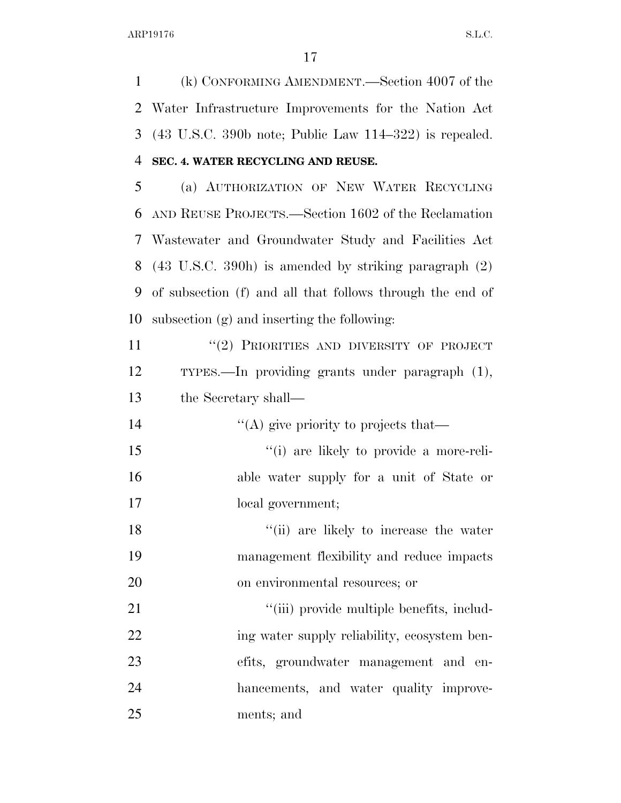(k) CONFORMING AMENDMENT.—Section 4007 of the Water Infrastructure Improvements for the Nation Act (43 U.S.C. 390b note; Public Law 114–322) is repealed. **SEC. 4. WATER RECYCLING AND REUSE.** 

 (a) AUTHORIZATION OF NEW WATER RECYCLING AND REUSE PROJECTS.—Section 1602 of the Reclamation Wastewater and Groundwater Study and Facilities Act (43 U.S.C. 390h) is amended by striking paragraph (2) of subsection (f) and all that follows through the end of subsection (g) and inserting the following:

11 "(2) PRIORITIES AND DIVERSITY OF PROJECT TYPES.—In providing grants under paragraph (1), the Secretary shall—

 $\langle (A)$  give priority to projects that— ''(i) are likely to provide a more-reli- able water supply for a unit of State or local government;

18 ''(ii) are likely to increase the water management flexibility and reduce impacts on environmental resources; or

 $\frac{1}{1}$   $\cdots$   $\cdots$   $\cdots$   $\cdots$   $\cdots$   $\cdots$   $\cdots$   $\cdots$   $\cdots$   $\cdots$   $\cdots$   $\cdots$   $\cdots$   $\cdots$   $\cdots$ 22 ing water supply reliability, ecosystem ben- efits, groundwater management and en- hancements, and water quality improve-ments; and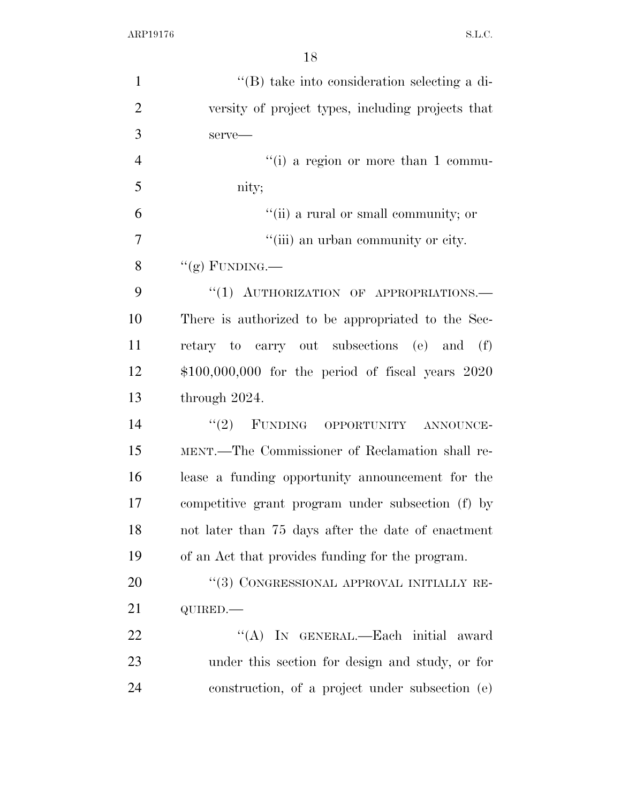| $\mathbf{1}$   | $\lq\lq$ take into consideration selecting a di-     |
|----------------|------------------------------------------------------|
| $\overline{2}$ | versity of project types, including projects that    |
| 3              | serve-                                               |
| $\overline{4}$ | "(i) a region or more than 1 commu-                  |
| 5              | nity;                                                |
| 6              | "(ii) a rural or small community; or                 |
| $\overline{7}$ | "(iii) an urban community or city.                   |
| 8              | "(g) FUNDING.—                                       |
| 9              | "(1) AUTHORIZATION OF APPROPRIATIONS.-               |
| 10             | There is authorized to be appropriated to the Sec-   |
| 11             | retary to carry out subsections (e) and<br>(f)       |
| 12             | $$100,000,000$ for the period of fiscal years $2020$ |
| 13             | through 2024.                                        |
| 14             | "(2) FUNDING OPPORTUNITY ANNOUNCE-                   |
| 15             | MENT.—The Commissioner of Reclamation shall re-      |
| 16             | lease a funding opportunity announcement for the     |
| 17             | competitive grant program under subsection (f) by    |
| 18             | not later than 75 days after the date of enactment   |
| 19             | of an Act that provides funding for the program.     |
| 20             | "(3) CONGRESSIONAL APPROVAL INITIALLY RE-            |
| 21             | QUIRED.                                              |
| <u>22</u>      | "(A) IN GENERAL.—Each initial award                  |
| 23             | under this section for design and study, or for      |
| 24             | construction, of a project under subsection (e)      |
|                |                                                      |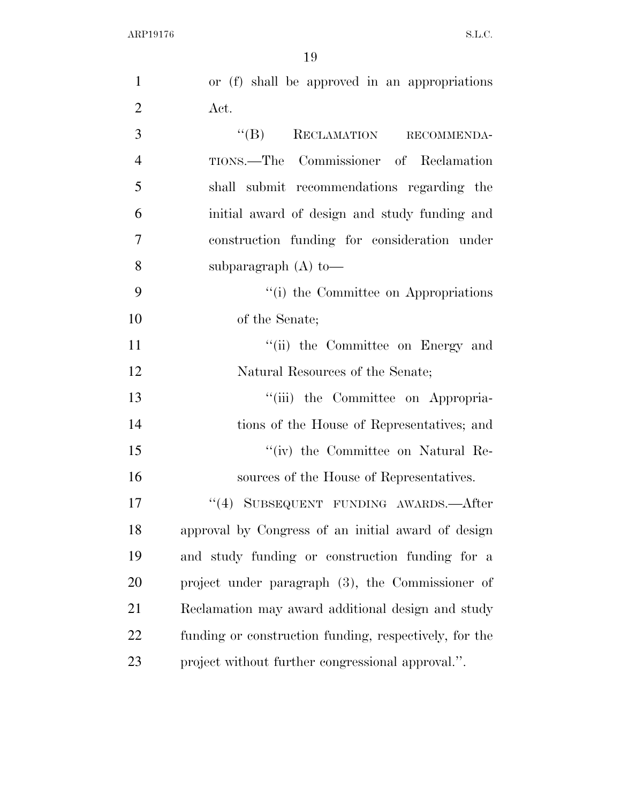| $\mathbf{1}$   | or (f) shall be approved in an appropriations          |
|----------------|--------------------------------------------------------|
| $\overline{2}$ | Act.                                                   |
| 3              | $``(B)$ RECLAMATION RECOMMENDA-                        |
| $\overline{4}$ | TIONS.—The Commissioner of Reclamation                 |
| 5              | shall submit recommendations regarding the             |
| 6              | initial award of design and study funding and          |
| 7              | construction funding for consideration under           |
| 8              | subparagraph $(A)$ to —                                |
| 9              | "(i) the Committee on Appropriations                   |
| 10             | of the Senate;                                         |
| 11             | "(ii) the Committee on Energy and                      |
| 12             | Natural Resources of the Senate;                       |
| 13             | "(iii) the Committee on Appropria-                     |
| 14             | tions of the House of Representatives; and             |
| 15             | "(iv) the Committee on Natural Re-                     |
| 16             | sources of the House of Representatives.               |
| 17             | "(4) SUBSEQUENT FUNDING AWARDS.—After                  |
| 18             | approval by Congress of an initial award of design     |
| 19             | and study funding or construction funding for a        |
| 20             | project under paragraph (3), the Commissioner of       |
| 21             | Reclamation may award additional design and study      |
| 22             | funding or construction funding, respectively, for the |
| 23             | project without further congressional approval.".      |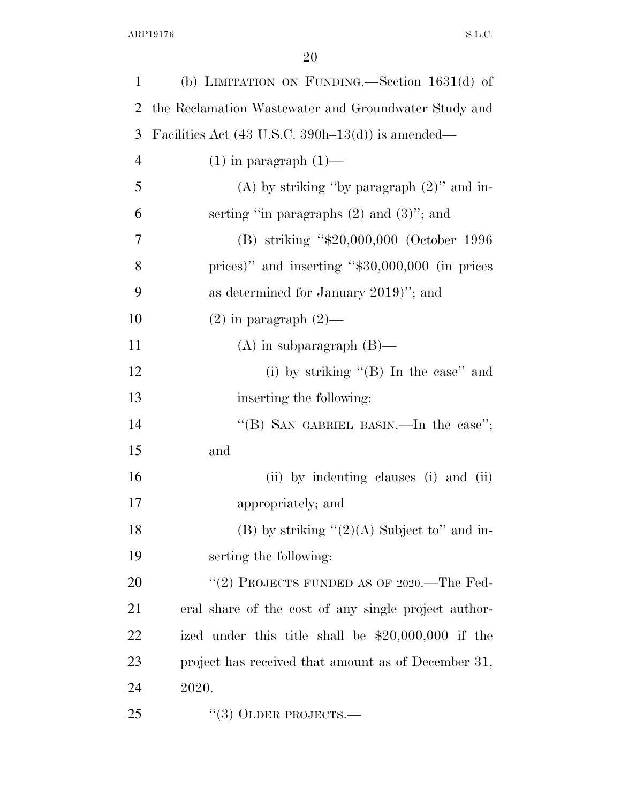| 1              | (b) LIMITATION ON FUNDING.—Section $1631(d)$ of              |
|----------------|--------------------------------------------------------------|
| $\overline{2}$ | the Reclamation Wastewater and Groundwater Study and         |
| 3              | Facilities Act $(43 \text{ U.S.C. } 390h-13(d))$ is amended— |
| $\overline{4}$ | $(1)$ in paragraph $(1)$ —                                   |
| 5              | (A) by striking "by paragraph $(2)$ " and in-                |
| 6              | serting "in paragraphs $(2)$ and $(3)$ "; and                |
| 7              | (B) striking "\$20,000,000 (October 1996)                    |
| 8              | prices)" and inserting " $$30,000,000$ (in prices            |
| 9              | as determined for January 2019)"; and                        |
| 10             | $(2)$ in paragraph $(2)$ —                                   |
| 11             | $(A)$ in subparagraph $(B)$ —                                |
| 12             | (i) by striking $\lq$ (B) In the case" and                   |
| 13             | inserting the following:                                     |
| 14             | "(B) SAN GABRIEL BASIN.—In the case";                        |
| 15             | and                                                          |
| 16             | (ii) by indenting clauses (i) and (ii)                       |
| 17             | appropriately; and                                           |
| 18             | (B) by striking " $(2)(A)$ Subject to" and in-               |
| 19             | serting the following:                                       |
| 20             | "(2) PROJECTS FUNDED AS OF 2020.—The Fed-                    |
| 21             | eral share of the cost of any single project author-         |
| 22             | ized under this title shall be $$20,000,000$ if the          |
| 23             | project has received that amount as of December 31,          |
| 24             | 2020.                                                        |
| 25             | $(3)$ OLDER PROJECTS.—                                       |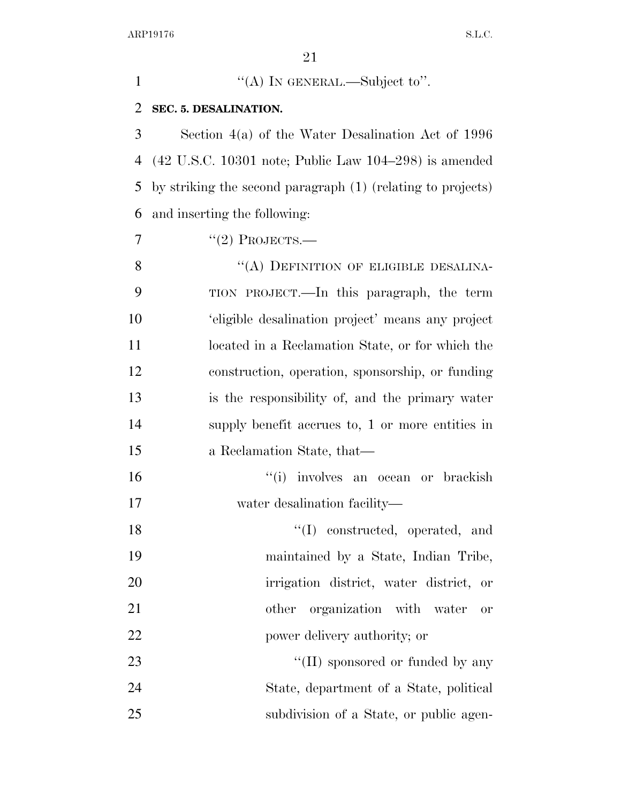| $\mathbf{1}$ | "(A) IN GENERAL.—Subject to".                                                    |
|--------------|----------------------------------------------------------------------------------|
| 2            | SEC. 5. DESALINATION.                                                            |
| 3            | Section $4(a)$ of the Water Desalination Act of 1996                             |
| 4            | $(42 \text{ U.S.C. } 10301 \text{ note}; \text{Public Law } 104-298)$ is amended |
| 5            | by striking the second paragraph (1) (relating to projects)                      |
| 6            | and inserting the following:                                                     |
| 7            | $"(2)$ PROJECTS.—                                                                |
| 8            | "(A) DEFINITION OF ELIGIBLE DESALINA-                                            |
| 9            | TION PROJECT.—In this paragraph, the term                                        |
| 10           | 'eligible desalination project' means any project                                |
| 11           | located in a Reclamation State, or for which the                                 |
| 12           | construction, operation, sponsorship, or funding                                 |
| 13           | is the responsibility of, and the primary water                                  |
| 14           | supply benefit accrues to, 1 or more entities in                                 |
| 15           | a Reclamation State, that—                                                       |
| 16           | "(i) involves an ocean or brackish                                               |
| 17           | water desalination facility—                                                     |
| 18           | "(I) constructed, operated, and                                                  |
| 19           | maintained by a State, Indian Tribe,                                             |
| 20           | irrigation district, water district, or                                          |
| 21           | organization with water<br>other<br>or                                           |
| 22           | power delivery authority; or                                                     |
| 23           | "(II) sponsored or funded by any                                                 |
| 24           | State, department of a State, political                                          |
| 25           | subdivision of a State, or public agen-                                          |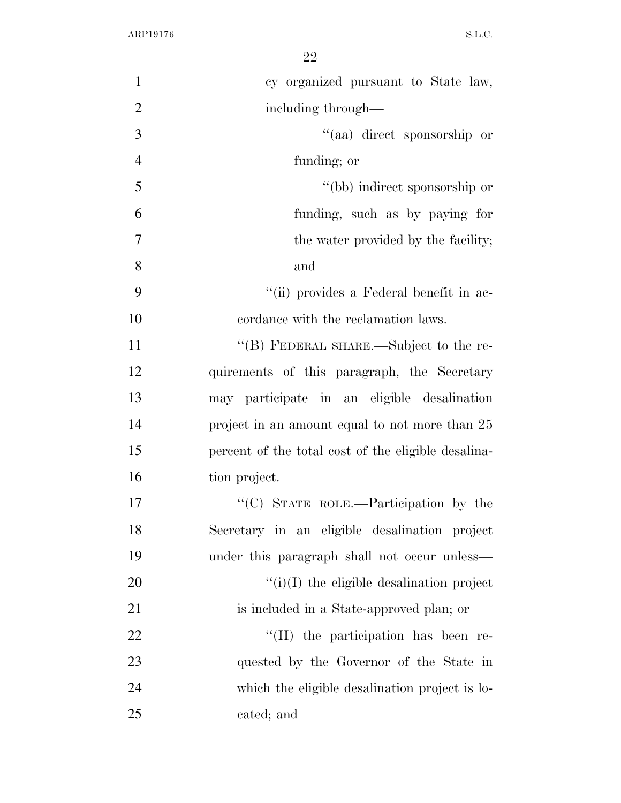| $\mathbf{1}$   | cy organized pursuant to State law,                 |
|----------------|-----------------------------------------------------|
| $\overline{2}$ | including through—                                  |
| 3              | "(aa) direct sponsorship or                         |
| $\overline{4}$ | funding; or                                         |
| 5              | "(bb) indirect sponsorship or                       |
| 6              | funding, such as by paying for                      |
| $\overline{7}$ | the water provided by the facility;                 |
| $8\,$          | and                                                 |
| 9              | "(ii) provides a Federal benefit in ac-             |
| 10             | cordance with the reclamation laws.                 |
| 11             | "(B) FEDERAL SHARE.—Subject to the re-              |
| 12             | quirements of this paragraph, the Secretary         |
| 13             | may participate in an eligible desalination         |
| 14             | project in an amount equal to not more than 25      |
| 15             | percent of the total cost of the eligible desalina- |
| 16             | tion project.                                       |
| 17             | "(C) STATE ROLE.—Participation by the               |
| 18             | Secretary in an eligible desalination project       |
| 19             | under this paragraph shall not occur unless-        |
| 20             | $f'(i)(I)$ the eligible desalination project        |
| 21             | is included in a State-approved plan; or            |
| 22             | "(II) the participation has been re-                |
| 23             | quested by the Governor of the State in             |
| 24             | which the eligible desalination project is lo-      |
| 25             | cated; and                                          |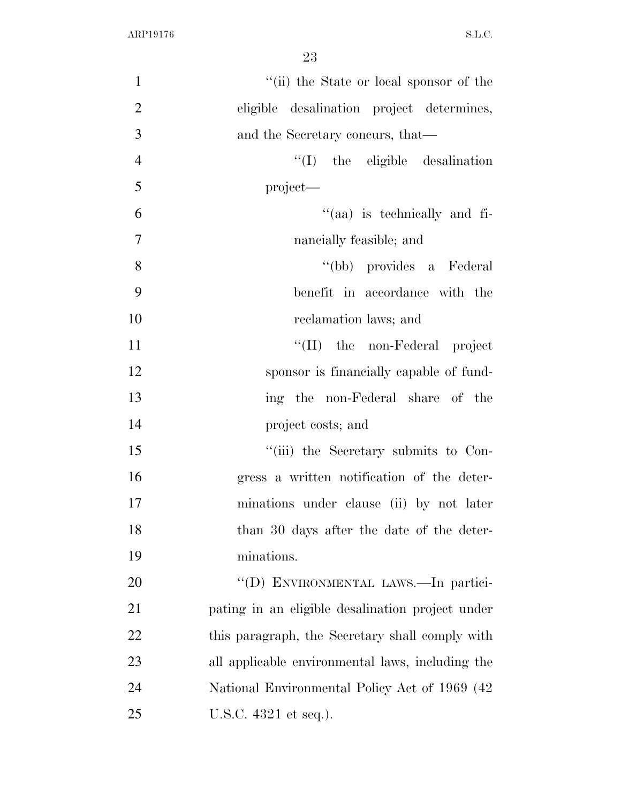| $\mathbf{1}$   | "(ii) the State or local sponsor of the          |
|----------------|--------------------------------------------------|
| $\overline{2}$ | eligible desalination project determines,        |
| 3              | and the Secretary concurs, that—                 |
| $\overline{4}$ | $\lq\lq$ the eligible desalination               |
| 5              | $project$ —                                      |
| 6              | $\lq(aa)$ is technically and fi-                 |
| $\overline{7}$ | nancially feasible; and                          |
| 8              | "(bb) provides a Federal                         |
| 9              | benefit in accordance with the                   |
| 10             | reclamation laws; and                            |
| 11             | "(II) the non-Federal project                    |
| 12             | sponsor is financially capable of fund-          |
| 13             | ing the non-Federal share of the                 |
| 14             | project costs; and                               |
| 15             | "(iii) the Secretary submits to Con-             |
| 16             | gress a written notification of the deter-       |
| 17             | minations under clause (ii) by not later         |
| 18             | than 30 days after the date of the deter-        |
| 19             | minations.                                       |
| 20             | "(D) ENVIRONMENTAL LAWS.—In partici-             |
| 21             | pating in an eligible desalination project under |
| 22             | this paragraph, the Secretary shall comply with  |
| 23             | all applicable environmental laws, including the |
| 24             | National Environmental Policy Act of 1969 (42)   |
| 25             | U.S.C. 4321 et seq.).                            |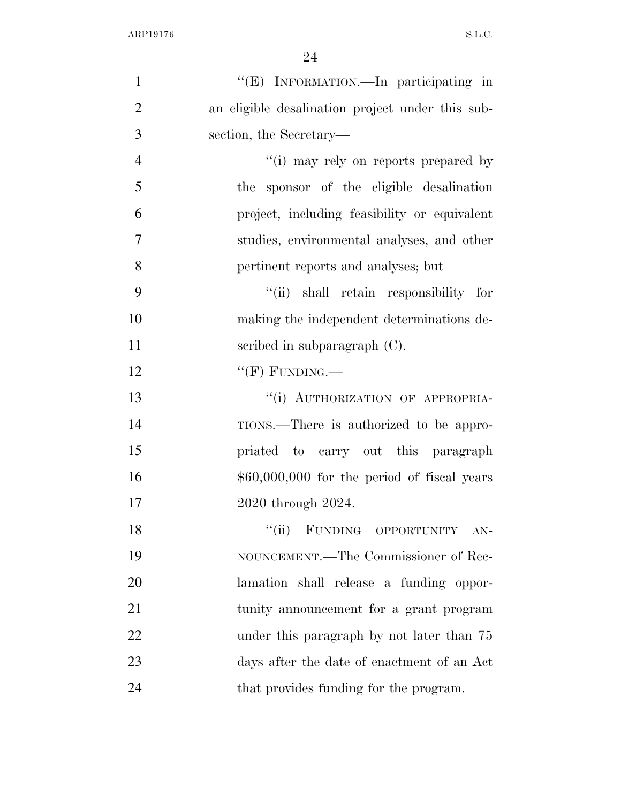| $\mathbf{1}$   | "(E) INFORMATION.—In participating in            |
|----------------|--------------------------------------------------|
| $\overline{2}$ | an eligible desalination project under this sub- |
| 3              | section, the Secretary—                          |
| $\overline{4}$ | "(i) may rely on reports prepared by             |
| 5              | the sponsor of the eligible desalination         |
| 6              | project, including feasibility or equivalent     |
| 7              | studies, environmental analyses, and other       |
| 8              | pertinent reports and analyses; but              |
| 9              | "(ii) shall retain responsibility for            |
| 10             | making the independent determinations de-        |
| 11             | scribed in subparagraph $(C)$ .                  |
| 12             | " $(F)$ FUNDING.—                                |
| 13             | "(i) AUTHORIZATION OF APPROPRIA-                 |
| 14             | TIONS.—There is authorized to be appro-          |
| 15             | priated to carry out this paragraph              |
| 16             | $$60,000,000$ for the period of fiscal years     |
| 17             | 2020 through 2024.                               |
| 18             | "(ii) FUNDING OPPORTUNITY AN-                    |
| 19             | NOUNCEMENT.—The Commissioner of Rec-             |
| 20             | lamation shall release a funding oppor-          |
| 21             | tunity announcement for a grant program          |
| 22             | under this paragraph by not later than 75        |
| 23             | days after the date of enactment of an Act       |
| 24             | that provides funding for the program.           |
|                |                                                  |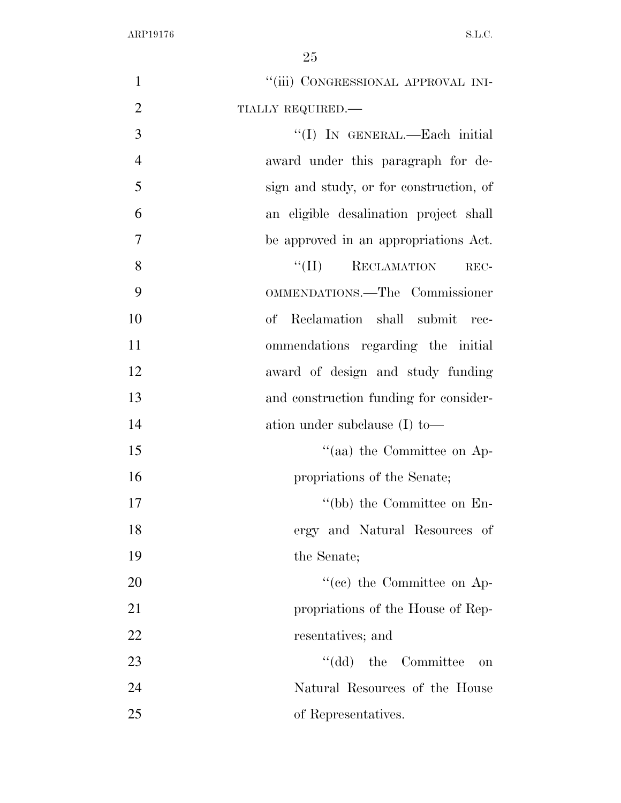| $\mathbf{1}$   | "(iii) CONGRESSIONAL APPROVAL INI-      |
|----------------|-----------------------------------------|
| $\overline{2}$ | TIALLY REQUIRED.-                       |
| 3              | "(I) IN GENERAL.—Each initial           |
| $\overline{4}$ | award under this paragraph for de-      |
| 5              | sign and study, or for construction, of |
| 6              | an eligible desalination project shall  |
| 7              | be approved in an appropriations Act.   |
| 8              | $``(\Pi)$<br>RECLAMATION<br>REC-        |
| 9              | OMMENDATIONS.-The Commissioner          |
| 10             | Reclamation shall submit<br>оf<br>rec-  |
| 11             | ommendations regarding the initial      |
| 12             | award of design and study funding       |
| 13             | and construction funding for consider-  |
| 14             | ation under subclause $(I)$ to —        |
| 15             | "(aa) the Committee on Ap-              |
| 16             | propriations of the Senate;             |
| 17             | "(bb) the Committee on $En-$            |
| 18             | ergy and Natural Resources of           |
| 19             | the Senate;                             |
| 20             | $\cdot$ (ce) the Committee on Ap-       |
| 21             | propriations of the House of Rep-       |
| 22             | resentatives; and                       |
| 23             | "(dd) the Committee<br>on               |
| 24             | Natural Resources of the House          |
| 25             | of Representatives.                     |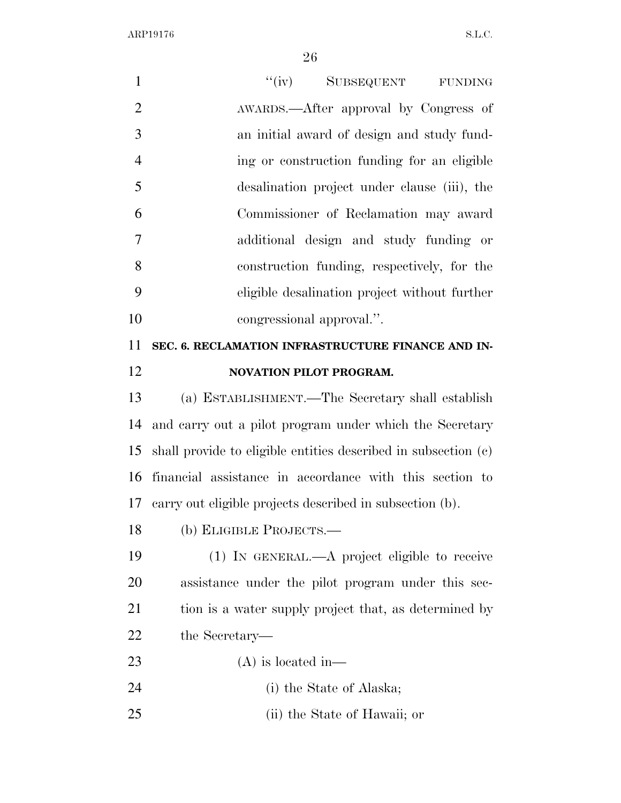| $\mathbf{1}$   | ``(iv)<br>SUBSEQUENT FUNDING                                   |
|----------------|----------------------------------------------------------------|
| $\overline{2}$ | AWARDS.—After approval by Congress of                          |
| 3              | an initial award of design and study fund-                     |
| $\overline{4}$ | ing or construction funding for an eligible                    |
| 5              | desalination project under clause (iii), the                   |
| 6              | Commissioner of Reclamation may award                          |
| $\overline{7}$ | additional design and study funding or                         |
| 8              | construction funding, respectively, for the                    |
| 9              | eligible desalination project without further                  |
| 10             | congressional approval.".                                      |
| 11             | SEC. 6. RECLAMATION INFRASTRUCTURE FINANCE AND IN-             |
| 12             | <b>NOVATION PILOT PROGRAM.</b>                                 |
| 13             | (a) ESTABLISHMENT.—The Secretary shall establish               |
| 14             | and carry out a pilot program under which the Secretary        |
| 15             | shall provide to eligible entities described in subsection (c) |
| 16             | financial assistance in accordance with this section to        |
|                | 17 carry out eligible projects described in subsection (b).    |
| 18             | (b) ELIGIBLE PROJECTS.—                                        |
| 19             | $(1)$ In GENERAL.—A project eligible to receive                |
| 20             | assistance under the pilot program under this sec-             |
| 21             | tion is a water supply project that, as determined by          |
| 22             | the Secretary—                                                 |
| 23             | $(A)$ is located in—                                           |
| 24             | (i) the State of Alaska;                                       |
| 25             | (ii) the State of Hawaii; or                                   |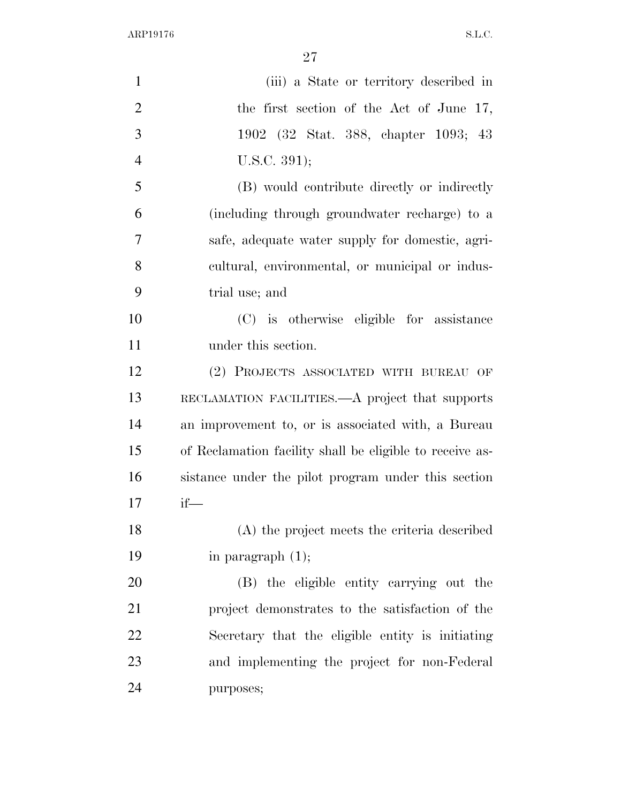| $\mathbf{1}$   | (iii) a State or territory described in                  |
|----------------|----------------------------------------------------------|
| $\overline{2}$ | the first section of the Act of June 17,                 |
| 3              | 1902 (32 Stat. 388, chapter 1093; 43                     |
| $\overline{4}$ | U.S.C. 391);                                             |
| 5              | (B) would contribute directly or indirectly              |
| 6              | (including through groundwater recharge) to a            |
| $\overline{7}$ | safe, adequate water supply for domestic, agri-          |
| 8              | cultural, environmental, or municipal or indus-          |
| 9              | trial use; and                                           |
| 10             | (C) is otherwise eligible for assistance                 |
| 11             | under this section.                                      |
| 12             | (2) PROJECTS ASSOCIATED WITH BUREAU OF                   |
| 13             | RECLAMATION FACILITIES. A project that supports          |
| 14             | an improvement to, or is associated with, a Bureau       |
| 15             | of Reclamation facility shall be eligible to receive as- |
| 16             | sistance under the pilot program under this section      |
| 17             | $if$ —                                                   |
| 18             | (A) the project meets the criteria described             |
| 19             | in paragraph $(1)$ ;                                     |
| 20             | (B) the eligible entity carrying out the                 |
| 21             | project demonstrates to the satisfaction of the          |
| 22             | Secretary that the eligible entity is initiating         |
| 23             | and implementing the project for non-Federal             |
| 24             | purposes;                                                |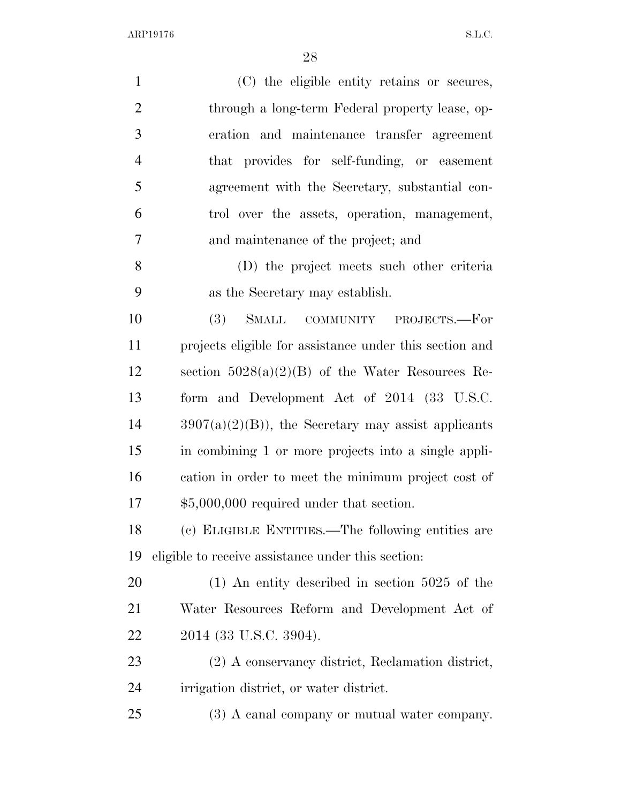| $\mathbf{1}$   | (C) the eligible entity retains or secures,             |
|----------------|---------------------------------------------------------|
| $\overline{2}$ | through a long-term Federal property lease, op-         |
| 3              | eration and maintenance transfer agreement              |
| $\overline{4}$ | that provides for self-funding, or easement             |
| 5              | agreement with the Secretary, substantial con-          |
| 6              | trol over the assets, operation, management,            |
| 7              | and maintenance of the project; and                     |
| 8              | (D) the project meets such other criteria               |
| 9              | as the Secretary may establish.                         |
| 10             | <b>SMALL</b><br>(3)<br>COMMUNITY PROJECTS.—For          |
| 11             | projects eligible for assistance under this section and |
| 12             | section $5028(a)(2)(B)$ of the Water Resources Re-      |
| 13             | form and Development Act of 2014 (33 U.S.C.             |
| 14             | $3907(a)(2)(B)$ , the Secretary may assist applicants   |
| 15             | in combining 1 or more projects into a single appli-    |
| 16             | cation in order to meet the minimum project cost of     |
| 17             | $$5,000,000$ required under that section.               |
| 18             | (c) ELIGIBLE ENTITIES.—The following entities are       |
| 19             | eligible to receive assistance under this section:      |
| 20             | $(1)$ An entity described in section 5025 of the        |
| 21             | Water Resources Reform and Development Act of           |
| 22             | 2014 (33 U.S.C. 3904).                                  |
| 23             | (2) A conservancy district, Reclamation district,       |
| 24             | irrigation district, or water district.                 |
| 25             | (3) A canal company or mutual water company.            |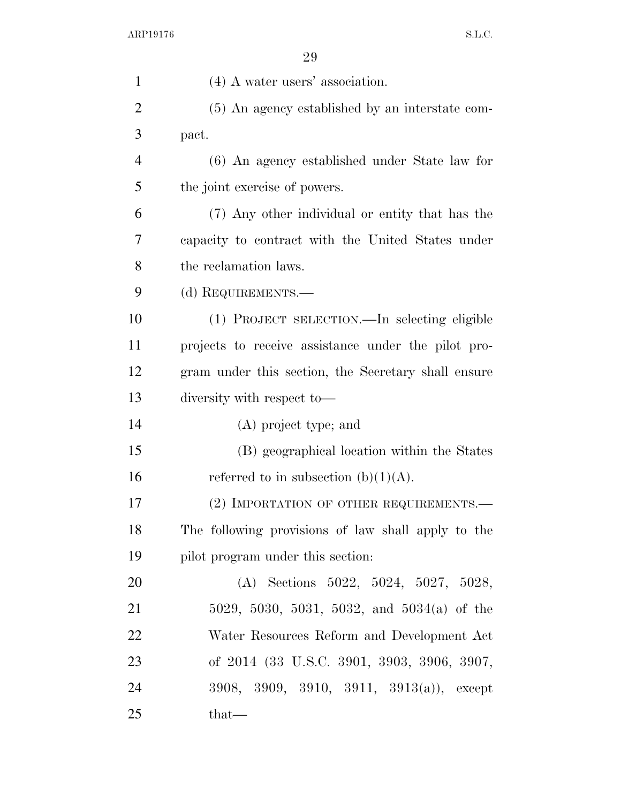| $\mathbf{1}$   | $(4)$ A water users' association.                   |
|----------------|-----------------------------------------------------|
| $\overline{2}$ | (5) An agency established by an interstate com-     |
| 3              | pact.                                               |
| $\overline{4}$ | (6) An agency established under State law for       |
| 5              | the joint exercise of powers.                       |
| 6              | (7) Any other individual or entity that has the     |
| 7              | capacity to contract with the United States under   |
| 8              | the reclamation laws.                               |
| 9              | (d) REQUIREMENTS.—                                  |
| 10             | (1) PROJECT SELECTION.—In selecting eligible        |
| 11             | projects to receive assistance under the pilot pro- |
| 12             | gram under this section, the Secretary shall ensure |
| 13             | diversity with respect to-                          |
| 14             | (A) project type; and                               |
| 15             | (B) geographical location within the States         |
| 16             | referred to in subsection (b) $(1)(A)$ .            |
| 17             | (2) IMPORTATION OF OTHER REQUIREMENTS.—             |
| 18             | The following provisions of law shall apply to the  |
| 19             | pilot program under this section.                   |
| 20             | (A) Sections $5022, 5024, 5027, 5028,$              |
| 21             | 5029, 5030, 5031, 5032, and 5034(a) of the          |
| 22             | Water Resources Reform and Development Act          |
| 23             | of 2014 (33 U.S.C. 3901, 3903, 3906, 3907,          |
| 24             | 3908, 3909, 3910, 3911, 3913(a)), except            |
| 25             | that—                                               |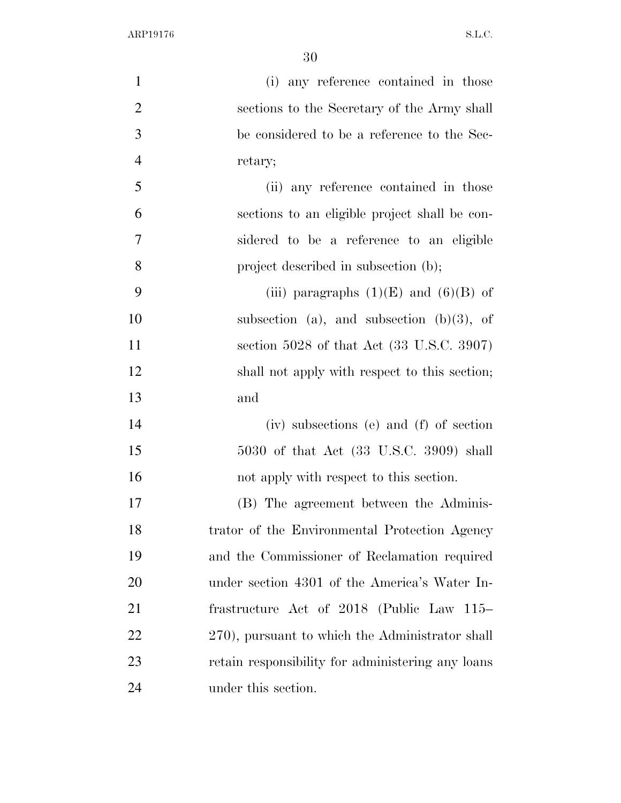| $\mathbf{1}$   | (i) any reference contained in those              |
|----------------|---------------------------------------------------|
| $\overline{2}$ | sections to the Secretary of the Army shall       |
| 3              | be considered to be a reference to the Sec-       |
| $\overline{4}$ | retary;                                           |
| 5              | (ii) any reference contained in those             |
| 6              | sections to an eligible project shall be con-     |
| 7              | sidered to be a reference to an eligible          |
| 8              | project described in subsection (b);              |
| 9              | (iii) paragraphs $(1)(E)$ and $(6)(B)$ of         |
| 10             | subsection (a), and subsection (b) $(3)$ , of     |
| 11             | section 5028 of that Act (33 U.S.C. 3907)         |
| 12             | shall not apply with respect to this section;     |
| 13             | and                                               |
| 14             | (iv) subsections (e) and (f) of section           |
| 15             | 5030 of that Act (33 U.S.C. 3909) shall           |
| 16             | not apply with respect to this section.           |
| 17             | (B) The agreement between the Adminis-            |
| 18             | trator of the Environmental Protection Agency     |
| 19             | and the Commissioner of Reclamation required      |
| 20             | under section 4301 of the America's Water In-     |
| 21             | frastructure Act of 2018 (Public Law 115–         |
| 22             | 270), pursuant to which the Administrator shall   |
| 23             | retain responsibility for administering any loans |
| 24             | under this section.                               |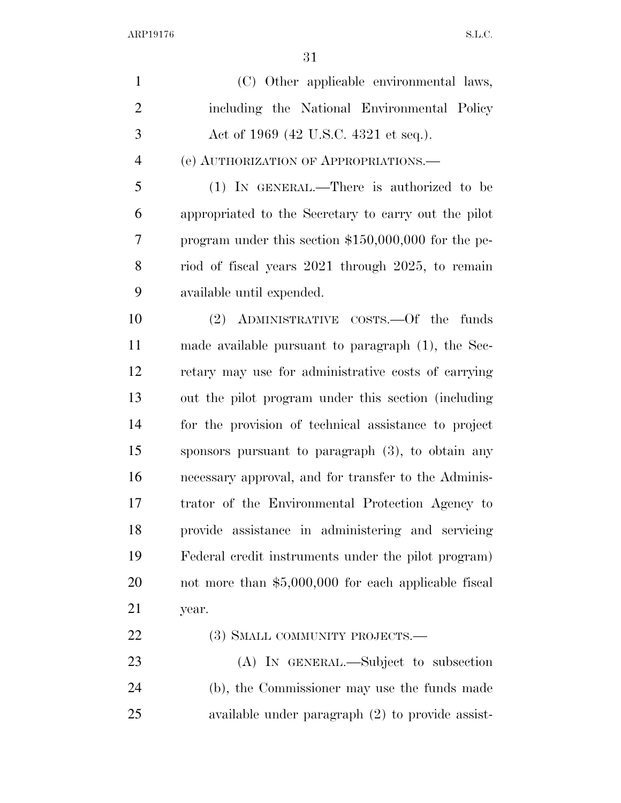| $\mathbf{1}$   | (C) Other applicable environmental laws,              |
|----------------|-------------------------------------------------------|
| $\overline{2}$ | including the National Environmental Policy           |
| 3              | Act of 1969 (42 U.S.C. 4321 et seq.).                 |
| $\overline{4}$ | (e) AUTHORIZATION OF APPROPRIATIONS.                  |
| 5              | (1) IN GENERAL.—There is authorized to be             |
| 6              | appropriated to the Secretary to carry out the pilot  |
| 7              | program under this section $$150,000,000$ for the pe- |
| 8              | riod of fiscal years 2021 through 2025, to remain     |
| 9              | available until expended.                             |
| 10             | (2) ADMINISTRATIVE COSTS.—Of the funds                |
| 11             | made available pursuant to paragraph (1), the Sec-    |
| 12             | retary may use for administrative costs of carrying   |
| 13             | out the pilot program under this section (including   |
| 14             | for the provision of technical assistance to project  |
| 15             | sponsors pursuant to paragraph $(3)$ , to obtain any  |
| 16             | necessary approval, and for transfer to the Adminis-  |
| 17             | trator of the Environmental Protection Agency to      |
| 18             | provide assistance in administering and servicing     |
| 19             | Federal credit instruments under the pilot program)   |
| 20             | not more than $$5,000,000$ for each applicable fiscal |
| 21             | year.                                                 |
| 22             | (3) SMALL COMMUNITY PROJECTS.—                        |
| 23             | (A) IN GENERAL.—Subject to subsection                 |
| 24             | (b), the Commissioner may use the funds made          |
| 25             | available under paragraph $(2)$ to provide assist-    |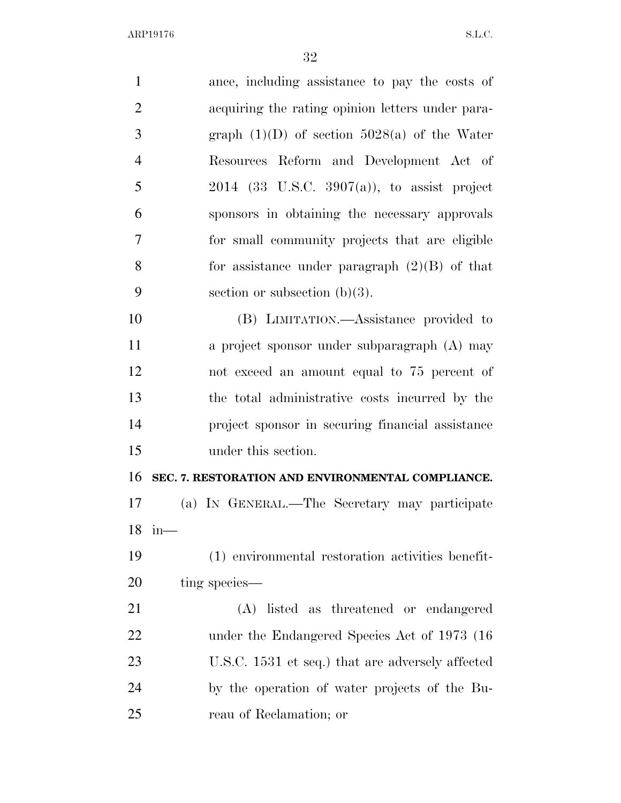| $\mathbf{1}$   | ance, including assistance to pay the costs of    |
|----------------|---------------------------------------------------|
| $\mathbf{2}$   | acquiring the rating opinion letters under para-  |
| 3              | graph $(1)(D)$ of section 5028(a) of the Water    |
| $\overline{4}$ | Resources Reform and Development Act of           |
| 5              | $2014$ (33 U.S.C. 3907(a)), to assist project     |
| 6              | sponsors in obtaining the necessary approvals     |
| $\tau$         | for small community projects that are eligible    |
| 8              | for assistance under paragraph $(2)(B)$ of that   |
| 9              | section or subsection $(b)(3)$ .                  |
| 10             | (B) LIMITATION.—Assistance provided to            |
| 11             | a project sponsor under subparagraph (A) may      |
| 12             | not exceed an amount equal to 75 percent of       |
| 13             | the total administrative costs incurred by the    |
| 14             | project sponsor in securing financial assistance  |
| 15             | under this section.                               |
| 16             | SEC. 7. RESTORATION AND ENVIRONMENTAL COMPLIANCE. |
| 17             | (a) IN GENERAL.—The Secretary may participate     |
| 18             | $in$ —                                            |
| 19             | (1) environmental restoration activities benefit- |
| 20             | ting species—                                     |
| 21             | listed as threatened or endangered<br>(A)         |
| 22             | under the Endangered Species Act of 1973 (16)     |
| 23             | U.S.C. 1531 et seq.) that are adversely affected  |
| 24             | by the operation of water projects of the Bu-     |
| 25             | reau of Reclamation; or                           |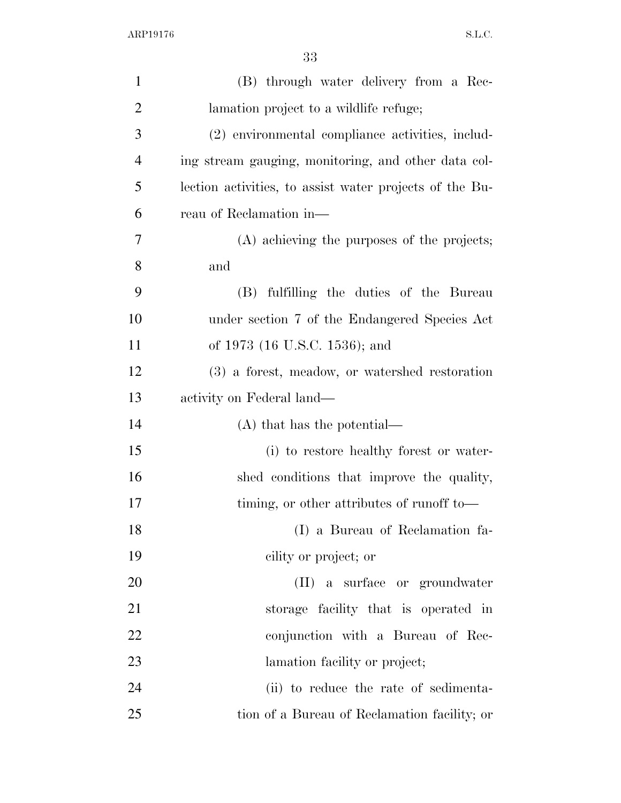| $\mathbf{1}$   | (B) through water delivery from a Rec-                  |
|----------------|---------------------------------------------------------|
| $\overline{2}$ | lamation project to a wildlife refuge;                  |
| 3              | (2) environmental compliance activities, includ-        |
| $\overline{4}$ | ing stream gauging, monitoring, and other data col-     |
| 5              | lection activities, to assist water projects of the Bu- |
| 6              | reau of Reclamation in—                                 |
| 7              | (A) achieving the purposes of the projects;             |
| 8              | and                                                     |
| 9              | (B) fulfilling the duties of the Bureau                 |
| 10             | under section 7 of the Endangered Species Act           |
| 11             | of 1973 (16 U.S.C. 1536); and                           |
| 12             | (3) a forest, meadow, or watershed restoration          |
| 13             | activity on Federal land—                               |
| 14             | $(A)$ that has the potential—                           |
| 15             | (i) to restore healthy forest or water-                 |
| 16             | shed conditions that improve the quality,               |
| 17             | timing, or other attributes of runoff to—               |
| 18             | (I) a Bureau of Reclamation fa-                         |
| 19             | cility or project; or                                   |
| 20             | (II) a surface or groundwater                           |
| 21             | storage facility that is operated in                    |
| 22             | conjunction with a Bureau of Rec-                       |
| 23             | lamation facility or project;                           |
| 24             | (ii) to reduce the rate of sedimenta-                   |
| 25             | tion of a Bureau of Reclamation facility; or            |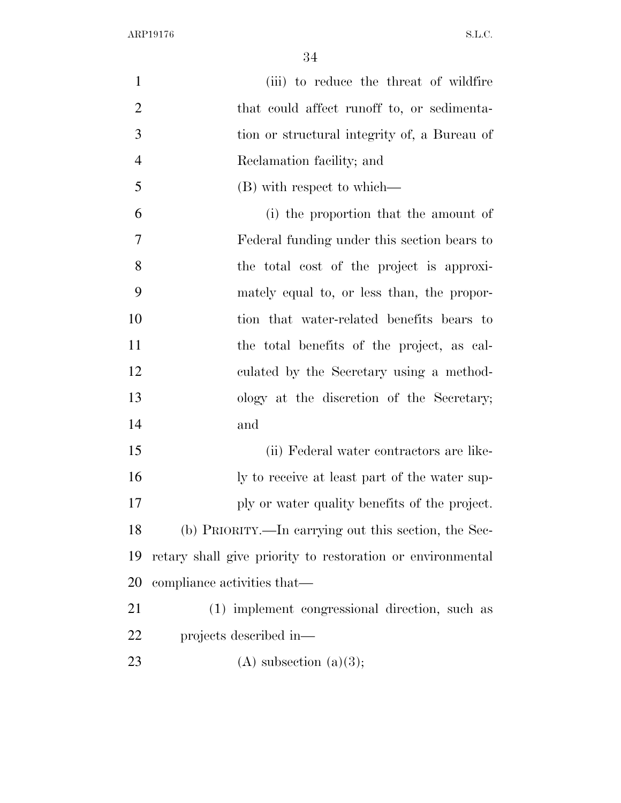| $\mathbf{1}$   | (iii) to reduce the threat of wildfire                     |
|----------------|------------------------------------------------------------|
| $\overline{2}$ | that could affect runoff to, or sedimenta-                 |
| 3              | tion or structural integrity of, a Bureau of               |
| $\overline{4}$ | Reclamation facility; and                                  |
| 5              | (B) with respect to which—                                 |
| 6              | (i) the proportion that the amount of                      |
| 7              | Federal funding under this section bears to                |
| 8              | the total cost of the project is approxi-                  |
| 9              | mately equal to, or less than, the propor-                 |
| 10             | tion that water-related benefits bears to                  |
| 11             | the total benefits of the project, as cal-                 |
| 12             | culated by the Secretary using a method-                   |
| 13             | ology at the discretion of the Secretary;                  |
| 14             | and                                                        |
| 15             | (ii) Federal water contractors are like-                   |
| 16             | ly to receive at least part of the water sup-              |
| 17             | ply or water quality benefits of the project.              |
| 18             | (b) PRIORITY.—In carrying out this section, the Sec-       |
| 19             | retary shall give priority to restoration or environmental |
| 20             | compliance activities that—                                |
| 21             | (1) implement congressional direction, such as             |
| 22             | projects described in—                                     |
| 23             | $(A)$ subsection $(a)(3);$                                 |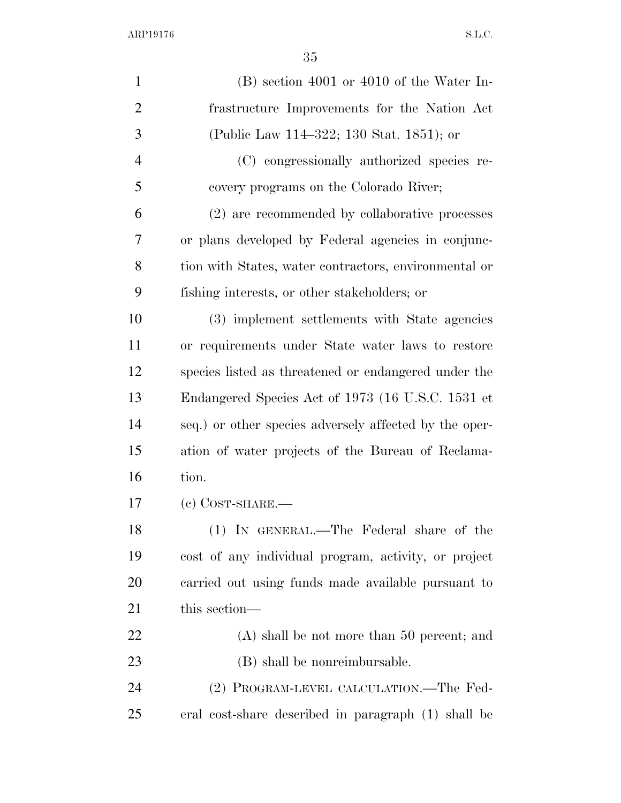| $\mathbf{1}$   | $(B)$ section 4001 or 4010 of the Water In-            |
|----------------|--------------------------------------------------------|
| $\overline{2}$ | frastructure Improvements for the Nation Act           |
| 3              | (Public Law 114–322; 130 Stat. 1851); or               |
| $\overline{4}$ | (C) congressionally authorized species re-             |
| 5              | covery programs on the Colorado River;                 |
| 6              | (2) are recommended by collaborative processes         |
| 7              | or plans developed by Federal agencies in conjunc-     |
| 8              | tion with States, water contractors, environmental or  |
| 9              | fishing interests, or other stakeholders; or           |
| 10             | (3) implement settlements with State agencies          |
| 11             | or requirements under State water laws to restore      |
| 12             | species listed as threatened or endangered under the   |
| 13             | Endangered Species Act of 1973 (16 U.S.C. 1531 et      |
| 14             | seq.) or other species adversely affected by the oper- |
| 15             | ation of water projects of the Bureau of Reclama-      |
| 16             | tion.                                                  |
| 17             | $(e)$ COST-SHARE.—                                     |
| 18             | (1) IN GENERAL.—The Federal share of the               |
| 19             | cost of any individual program, activity, or project   |
| 20             | carried out using funds made available pursuant to     |
| 21             | this section—                                          |
| 22             | $(A)$ shall be not more than 50 percent; and           |
| 23             | (B) shall be nonreimbursable.                          |
| 24             | (2) PROGRAM-LEVEL CALCULATION.—The Fed-                |
| 25             | eral cost-share described in paragraph (1) shall be    |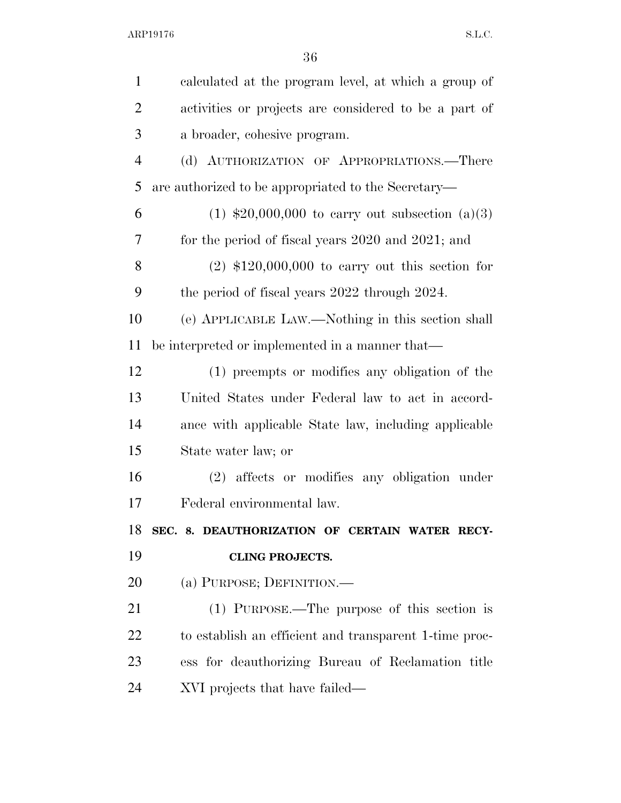| $\mathbf{1}$   | calculated at the program level, at which a group of   |
|----------------|--------------------------------------------------------|
| $\overline{2}$ | activities or projects are considered to be a part of  |
| 3              | a broader, cohesive program.                           |
| $\overline{4}$ | (d) AUTHORIZATION OF APPROPRIATIONS.—There             |
| 5              | are authorized to be appropriated to the Secretary—    |
| 6              | $(1)$ \$20,000,000 to carry out subsection $(a)(3)$    |
| $\overline{7}$ | for the period of fiscal years 2020 and 2021; and      |
| 8              | $(2)$ \$120,000,000 to carry out this section for      |
| 9              | the period of fiscal years 2022 through 2024.          |
| 10             | (e) APPLICABLE LAW.—Nothing in this section shall      |
| 11             | be interpreted or implemented in a manner that—        |
| 12             | (1) preempts or modifies any obligation of the         |
| 13             | United States under Federal law to act in accord-      |
| 14             | ance with applicable State law, including applicable   |
| 15             | State water law; or                                    |
| 16             | (2) affects or modifies any obligation under           |
| 17             | Federal environmental law.                             |
| 18             | SEC. 8. DEAUTHORIZATION OF CERTAIN WATER RECY-         |
| 19             | <b>CLING PROJECTS.</b>                                 |
| <b>20</b>      | (a) PURPOSE; DEFINITION.—                              |
| 21             | (1) PURPOSE.—The purpose of this section is            |
| 22             | to establish an efficient and transparent 1-time proc- |
| 23             | ess for deauthorizing Bureau of Reclamation title      |
| 24             | XVI projects that have failed—                         |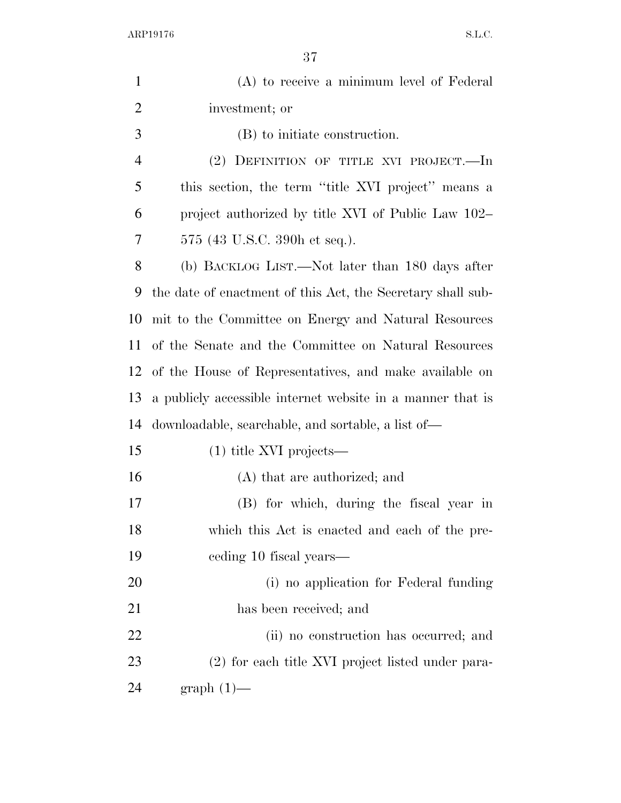| $\mathbf{1}$   | (A) to receive a minimum level of Federal                   |
|----------------|-------------------------------------------------------------|
| $\overline{2}$ | investment; or                                              |
| 3              | (B) to initiate construction.                               |
| $\overline{4}$ | (2) DEFINITION OF TITLE XVI PROJECT.—In                     |
| 5              | this section, the term "title XVI project" means a          |
| 6              | project authorized by title XVI of Public Law 102–          |
| 7              | 575 (43 U.S.C. 390h et seq.).                               |
| 8              | (b) BACKLOG LIST.—Not later than 180 days after             |
| 9              | the date of enactment of this Act, the Secretary shall sub- |
| 10             | mit to the Committee on Energy and Natural Resources        |
| 11             | of the Senate and the Committee on Natural Resources        |
| 12             | of the House of Representatives, and make available on      |
| 13             | a publicly accessible internet website in a manner that is  |
| 14             | downloadable, searchable, and sortable, a list of—          |
| 15             | $(1)$ title XVI projects—                                   |
| 16             | (A) that are authorized; and                                |
| 17             | (B) for which, during the fiscal year in                    |
| 18             | which this Act is enacted and each of the pre-              |
| 19             | eeding 10 fiscal years—                                     |
| 20             | (i) no application for Federal funding                      |
| 21             | has been received; and                                      |
| 22             | (ii) no construction has occurred; and                      |
| 23             | (2) for each title XVI project listed under para-           |
| 24             | $graph(1)$ —                                                |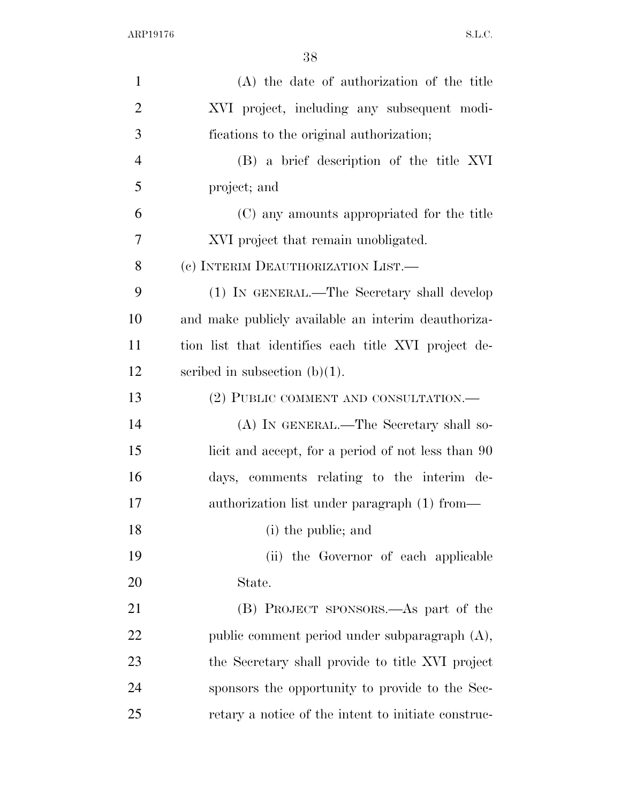| $\mathbf{1}$   | (A) the date of authorization of the title           |
|----------------|------------------------------------------------------|
| $\overline{2}$ | XVI project, including any subsequent modi-          |
| 3              | fications to the original authorization;             |
| $\overline{4}$ | (B) a brief description of the title XVI             |
| 5              | project; and                                         |
| 6              | (C) any amounts appropriated for the title           |
| 7              | XVI project that remain unobligated.                 |
| 8              | (c) INTERIM DEAUTHORIZATION LIST.—                   |
| 9              | (1) IN GENERAL.—The Secretary shall develop          |
| 10             | and make publicly available an interim deauthoriza-  |
| 11             | tion list that identifies each title XVI project de- |
| 12             | scribed in subsection $(b)(1)$ .                     |
| 13             | (2) PUBLIC COMMENT AND CONSULTATION.—                |
| 14             | (A) IN GENERAL.—The Secretary shall so-              |
| 15             | licit and accept, for a period of not less than 90   |
| 16             | days, comments relating to the interim de-           |
| 17             | authorization list under paragraph (1) from—         |
| 18             | (i) the public; and                                  |
| 19             | (ii) the Governor of each applicable                 |
| 20             | State.                                               |
| 21             | (B) PROJECT SPONSORS.—As part of the                 |
| <u>22</u>      | public comment period under subparagraph (A),        |
| 23             | the Secretary shall provide to title XVI project     |
| 24             | sponsors the opportunity to provide to the Sec-      |
| 25             | retary a notice of the intent to initiate construc-  |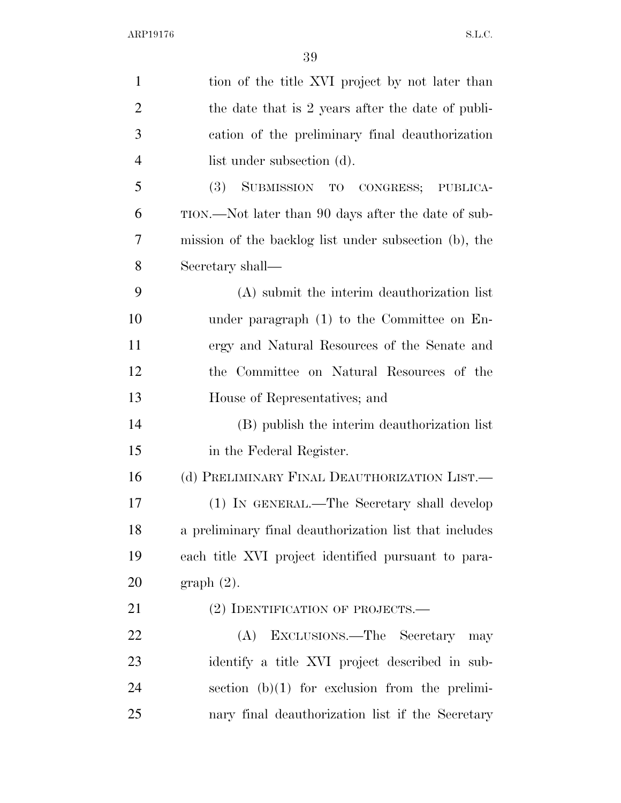| $\mathbf{1}$   | tion of the title XVI project by not later than        |
|----------------|--------------------------------------------------------|
| $\overline{2}$ | the date that is 2 years after the date of publi-      |
| 3              | cation of the preliminary final deauthorization        |
| $\overline{4}$ | list under subsection (d).                             |
| 5              | (3) SUBMISSION TO CONGRESS; PUBLICA-                   |
| 6              | TION.—Not later than 90 days after the date of sub-    |
| 7              | mission of the backlog list under subsection (b), the  |
| 8              | Secretary shall—                                       |
| 9              | (A) submit the interim deauthorization list            |
| 10             | under paragraph (1) to the Committee on En-            |
| 11             | ergy and Natural Resources of the Senate and           |
| 12             | the Committee on Natural Resources of the              |
| 13             | House of Representatives; and                          |
| 14             | (B) publish the interim deauthorization list           |
| 15             | in the Federal Register.                               |
| 16             | (d) PRELIMINARY FINAL DEAUTHORIZATION LIST.—           |
| 17             | (1) IN GENERAL.—The Secretary shall develop            |
| 18             | a preliminary final deauthorization list that includes |
| 19             | each title XVI project identified pursuant to para-    |
| 20             | $graph(2)$ .                                           |
| 21             | (2) IDENTIFICATION OF PROJECTS.—                       |
| 22             | EXCLUSIONS.—The Secretary<br>(A)<br>may                |
| 23             | identify a title XVI project described in sub-         |
| 24             | section $(b)(1)$ for exclusion from the prelimi-       |
| 25             | nary final deauthorization list if the Secretary       |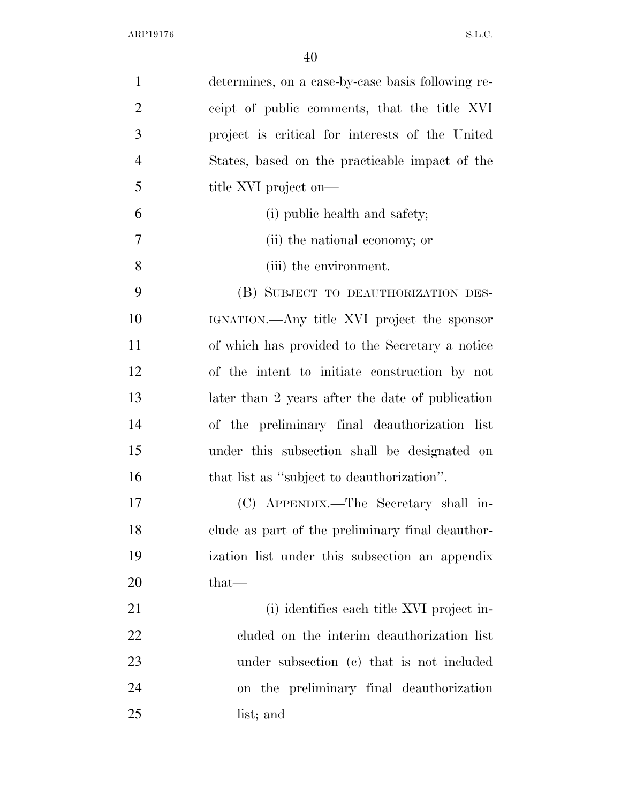| $\mathbf{1}$   | determines, on a case-by-case basis following re- |
|----------------|---------------------------------------------------|
| $\overline{2}$ | ceipt of public comments, that the title XVI      |
| 3              | project is critical for interests of the United   |
| $\overline{4}$ | States, based on the practicable impact of the    |
| 5              | title XVI project on—                             |
| 6              | (i) public health and safety;                     |
| 7              | (ii) the national economy; or                     |
| 8              | (iii) the environment.                            |
| 9              | (B) SUBJECT TO DEAUTHORIZATION DES-               |
| 10             | IGNATION.—Any title XVI project the sponsor       |
| 11             | of which has provided to the Secretary a notice   |
| 12             | of the intent to initiate construction by not     |
| 13             | later than 2 years after the date of publication  |
| 14             | of the preliminary final deauthorization list     |
| 15             | under this subsection shall be designated on      |
| 16             | that list as "subject to deauthorization".        |
| 17             | (C) APPENDIX.—The Secretary shall in-             |
| 18             | clude as part of the preliminary final deauthor-  |
| 19             | ization list under this subsection an appendix    |
| 20             | $that-$                                           |
| 21             | (i) identifies each title XVI project in-         |
| 22             | cluded on the interim deauthorization list        |
| 23             | under subsection (c) that is not included         |
| 24             | on the preliminary final deauthorization          |
| 25             | list; and                                         |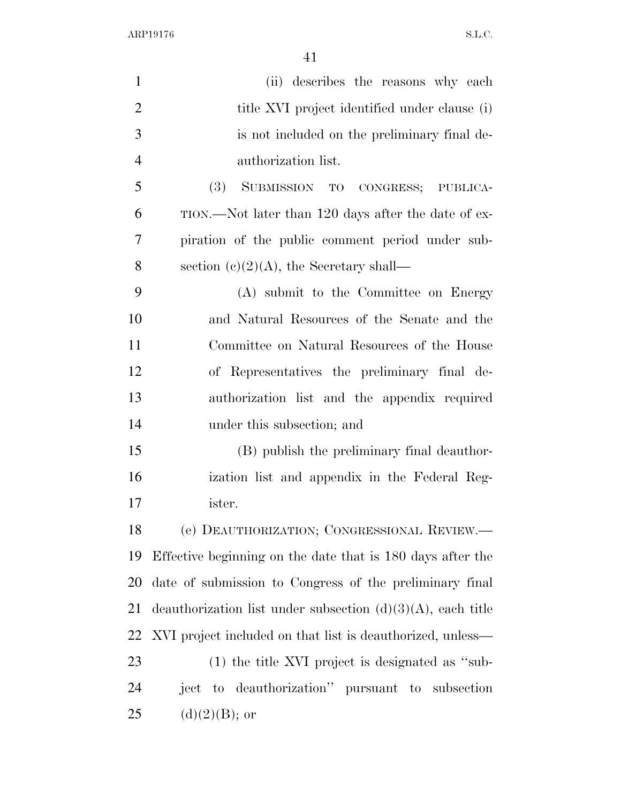| $\mathbf{1}$   | (ii) describes the reasons why each                            |
|----------------|----------------------------------------------------------------|
| $\overline{2}$ | title XVI project identified under clause (i)                  |
| 3              | is not included on the preliminary final de-                   |
| $\overline{4}$ | authorization list.                                            |
| 5              | (3)<br>SUBMISSION TO CONGRESS; PUBLICA-                        |
| 6              | TION.—Not later than 120 days after the date of ex-            |
| 7              | piration of the public comment period under sub-               |
| 8              | section $(c)(2)(A)$ , the Secretary shall—                     |
| 9              | (A) submit to the Committee on Energy                          |
| 10             | and Natural Resources of the Senate and the                    |
| 11             | Committee on Natural Resources of the House                    |
| 12             | of Representatives the preliminary final de-                   |
| 13             | authorization list and the appendix required                   |
| 14             | under this subsection; and                                     |
| 15             | (B) publish the preliminary final deauthor-                    |
| 16             | ization list and appendix in the Federal Reg-                  |
| 17             | ister.                                                         |
| 18             | (e) DEAUTHORIZATION; CONGRESSIONAL REVIEW.—                    |
| 19             | Effective beginning on the date that is 180 days after the     |
| 20             | date of submission to Congress of the preliminary final        |
| 21             | deauthorization list under subsection $(d)(3)(A)$ , each title |
| 22             | XVI project included on that list is deauthorized, unless—     |
| 23             | $(1)$ the title XVI project is designated as "sub-             |
| 24             | ject to deauthorization" pursuant to subsection                |
| 25             | $(d)(2)(B)$ ; or                                               |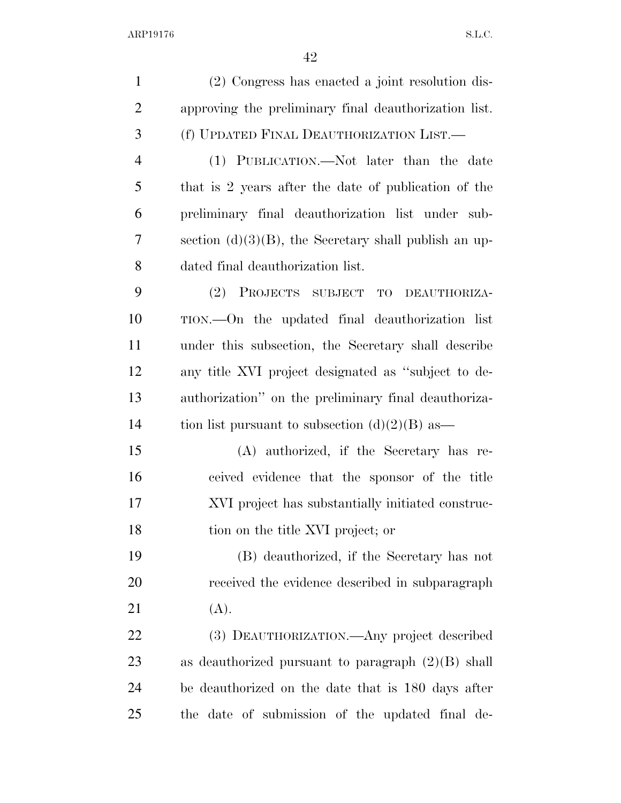| $\mathbf{1}$   | (2) Congress has enacted a joint resolution dis-         |
|----------------|----------------------------------------------------------|
| $\overline{2}$ | approving the preliminary final deauthorization list.    |
| 3              | (f) UPDATED FINAL DEAUTHORIZATION LIST.                  |
| $\overline{4}$ | (1) PUBLICATION.—Not later than the date                 |
| 5              | that is 2 years after the date of publication of the     |
| 6              | preliminary final deauthorization list under sub-        |
| 7              | section $(d)(3)(B)$ , the Secretary shall publish an up- |
| 8              | dated final deauthorization list.                        |
| 9              | (2) PROJECTS SUBJECT TO DEAUTHORIZA-                     |
| 10             | TION.—On the updated final deauthorization list          |
| 11             | under this subsection, the Secretary shall describe      |
| 12             | any title XVI project designated as "subject to de-      |
| 13             | authorization" on the preliminary final deauthoriza-     |
| 14             | tion list pursuant to subsection $(d)(2)(B)$ as          |
| 15             | (A) authorized, if the Secretary has re-                 |
| 16             | ceived evidence that the sponsor of the title            |
| 17             | XVI project has substantially initiated construc-        |
| 18             | tion on the title XVI project; or                        |
| 19             | (B) deauthorized, if the Secretary has not               |
| <b>20</b>      | received the evidence described in subparagraph          |
| 21             | (A).                                                     |
| 22             | (3) DEAUTHORIZATION.—Any project described               |
| 23             | as deauthorized pursuant to paragraph $(2)(B)$ shall     |
| 24             | be deauthorized on the date that is 180 days after       |
| 25             | the date of submission of the updated final de-          |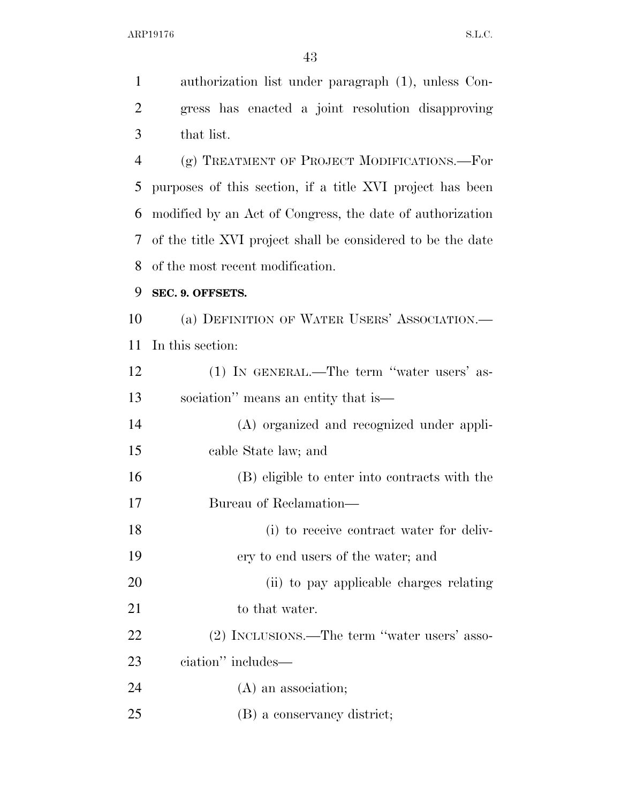authorization list under paragraph (1), unless Con- gress has enacted a joint resolution disapproving that list. (g) TREATMENT OF PROJECT MODIFICATIONS.—For purposes of this section, if a title XVI project has been modified by an Act of Congress, the date of authorization of the title XVI project shall be considered to be the date of the most recent modification. **SEC. 9. OFFSETS.**  (a) DEFINITION OF WATER USERS' ASSOCIATION.— In this section: (1) IN GENERAL.—The term ''water users' as- sociation'' means an entity that is— (A) organized and recognized under appli- cable State law; and (B) eligible to enter into contracts with the Bureau of Reclamation— (i) to receive contract water for deliv- ery to end users of the water; and (ii) to pay applicable charges relating 21 to that water.

 (2) INCLUSIONS.—The term ''water users' asso- ciation'' includes— 24 (A) an association;

(B) a conservancy district;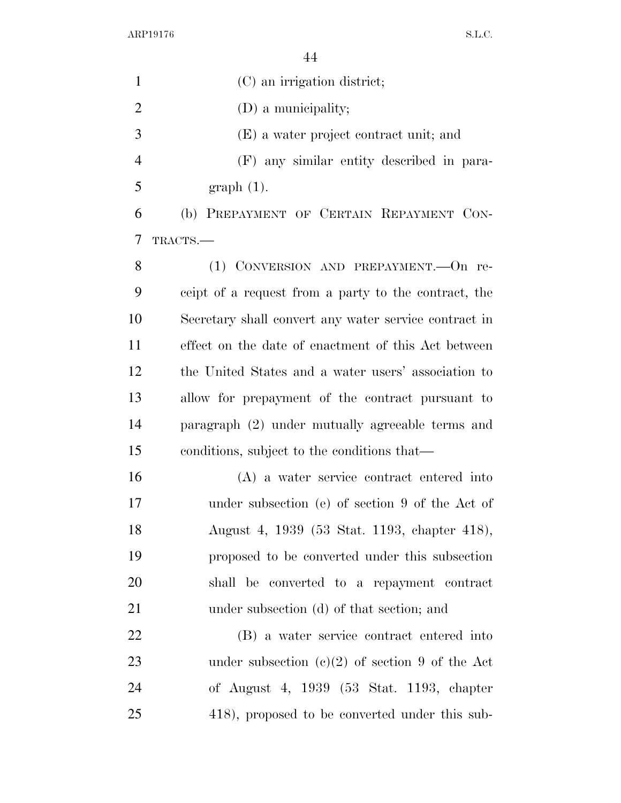| $\mathbf{1}$   | (C) an irrigation district;                           |
|----------------|-------------------------------------------------------|
| 2              | (D) a municipality;                                   |
| 3              | (E) a water project contract unit; and                |
| $\overline{4}$ | (F) any similar entity described in para-             |
| 5              | $graph(1)$ .                                          |
| 6              | (b) PREPAYMENT OF CERTAIN REPAYMENT CON-              |
| 7              | TRACTS.                                               |
| 8              | (1) CONVERSION AND PREPAYMENT. - On re-               |
| 9              | ceipt of a request from a party to the contract, the  |
| 10             | Secretary shall convert any water service contract in |
| 11             | effect on the date of enactment of this Act between   |
| 12             | the United States and a water users' association to   |
| 13             | allow for prepayment of the contract pursuant to      |
| 14             | paragraph (2) under mutually agreeable terms and      |
| 15             | conditions, subject to the conditions that—           |
| 16             | (A) a water service contract entered into             |
| 17             | under subsection (e) of section 9 of the Act of       |
| 18             | August 4, 1939 (53 Stat. 1193, chapter 418),          |
| 19             | proposed to be converted under this subsection        |
| 20             | shall be converted to a repayment contract            |
| 21             | under subsection (d) of that section; and             |
| 22             | (B) a water service contract entered into             |
| 23             | under subsection $(c)(2)$ of section 9 of the Act     |
| 24             | of August 4, 1939 (53 Stat. 1193, chapter             |
| 25             | 418), proposed to be converted under this sub-        |
|                |                                                       |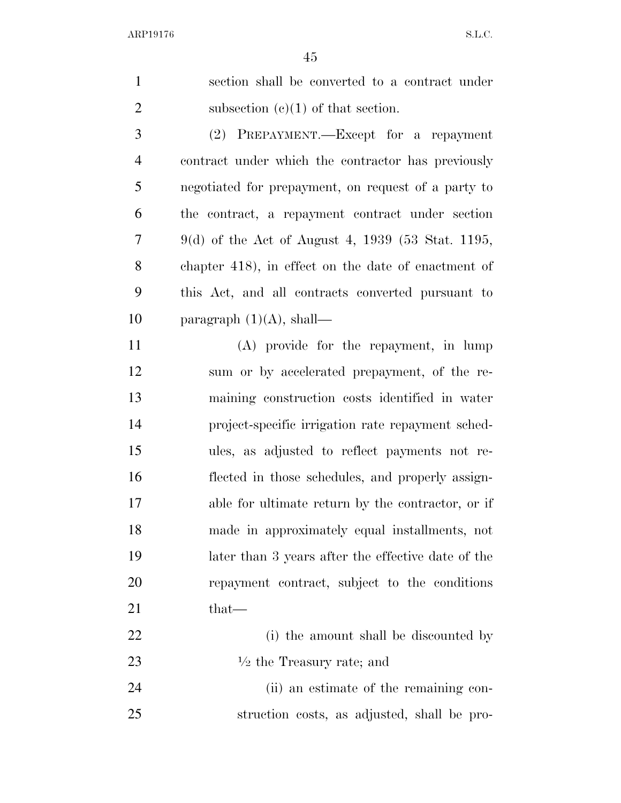| $\mathbf{1}$   | section shall be converted to a contract under      |
|----------------|-----------------------------------------------------|
| $\overline{2}$ | subsection $(c)(1)$ of that section.                |
| 3              | (2) PREPAYMENT.—Except for a repayment              |
| $\overline{4}$ | contract under which the contractor has previously  |
| 5              | negotiated for prepayment, on request of a party to |
| 6              | the contract, a repayment contract under section    |
| 7              | $9(d)$ of the Act of August 4, 1939 (53 Stat. 1195, |
| 8              | chapter 418), in effect on the date of enactment of |
| 9              | this Act, and all contracts converted pursuant to   |
| 10             | paragraph $(1)(A)$ , shall—                         |
| 11             | (A) provide for the repayment, in lump              |
| 12             | sum or by accelerated prepayment, of the re-        |
| 13             | maining construction costs identified in water      |
| 14             | project-specific irrigation rate repayment sched-   |
| 15             | ules, as adjusted to reflect payments not re-       |
| 16             | flected in those schedules, and properly assign-    |
| 17             | able for ultimate return by the contractor, or if   |
| 18             | made in approximately equal installments, not       |
| 19             | later than 3 years after the effective date of the  |
| 20             | repayment contract, subject to the conditions       |
| 21             | that—                                               |
| 22             | (i) the amount shall be discounted by               |
| 23             | $\frac{1}{2}$ the Treasury rate; and                |
| 24             | (ii) an estimate of the remaining con-              |
| 25             | struction costs, as adjusted, shall be pro-         |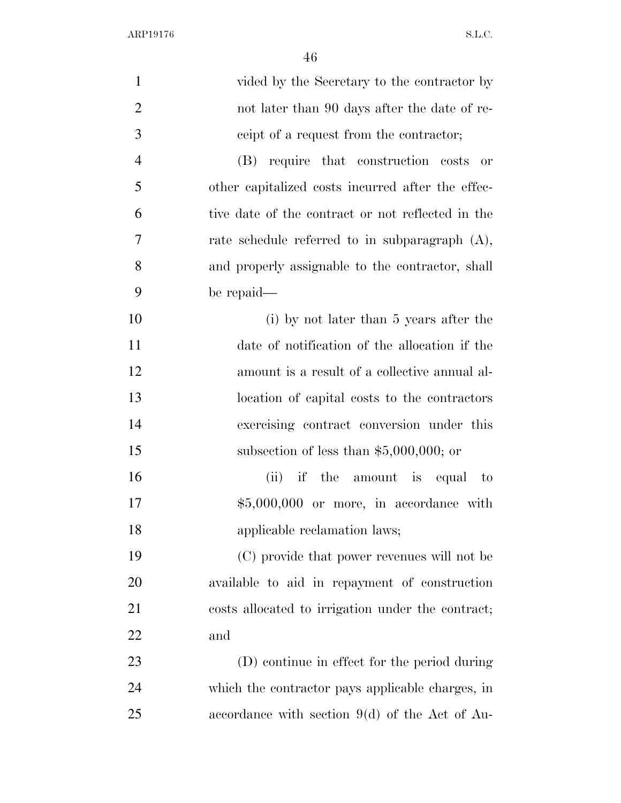| $\mathbf{1}$   | vided by the Secretary to the contractor by       |
|----------------|---------------------------------------------------|
| $\overline{2}$ | not later than 90 days after the date of re-      |
| 3              | ceipt of a request from the contractor;           |
| $\overline{4}$ | (B) require that construction costs<br>or         |
| 5              | other capitalized costs incurred after the effec- |
| 6              | tive date of the contract or not reflected in the |
| 7              | rate schedule referred to in subparagraph $(A)$ , |
| 8              | and properly assignable to the contractor, shall  |
| 9              | be repaid—                                        |
| 10             | (i) by not later than 5 years after the           |
| 11             | date of notification of the allocation if the     |
| 12             | amount is a result of a collective annual al-     |
| 13             | location of capital costs to the contractors      |
| 14             | exercising contract conversion under this         |
| 15             | subsection of less than $$5,000,000$ ; or         |
| 16             | (ii) if the amount is equal to                    |
| 17             | $$5,000,000$ or more, in accordance with          |
| 18             | applicable reclamation laws;                      |
| 19             | (C) provide that power revenues will not be       |
| 20             | available to aid in repayment of construction     |
| 21             | costs allocated to irrigation under the contract; |
| <u>22</u>      | and                                               |
| 23             | (D) continue in effect for the period during      |
| 24             | which the contractor pays applicable charges, in  |
| 25             | accordance with section $9(d)$ of the Act of Au-  |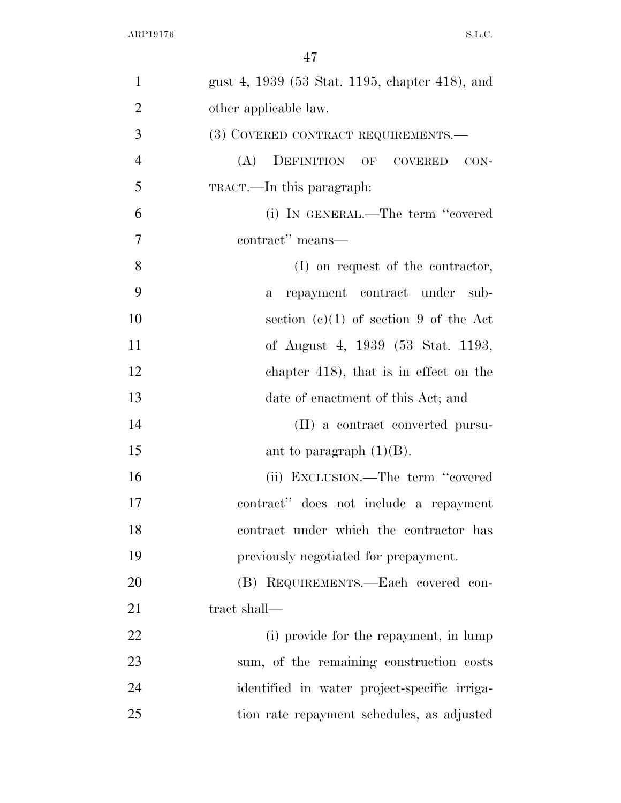| $\mathbf{1}$   |                                                |
|----------------|------------------------------------------------|
|                | gust 4, 1939 (53 Stat. 1195, chapter 418), and |
| $\overline{2}$ | other applicable law.                          |
| 3              | (3) COVERED CONTRACT REQUIREMENTS.—            |
| $\overline{4}$ | (A) DEFINITION OF COVERED CON-                 |
| 5              | TRACT.—In this paragraph:                      |
| 6              | (i) IN GENERAL.—The term "covered              |
| $\overline{7}$ | contract" means—                               |
| 8              | (I) on request of the contractor,              |
| 9              | repayment contract under sub-<br>$\mathbf{a}$  |
| 10             | section $(e)(1)$ of section 9 of the Act       |
| 11             | of August 4, 1939 (53 Stat. 1193,              |
| 12             | chapter $418$ , that is in effect on the       |
| 13             | date of enactment of this Act; and             |
| 14             | (II) a contract converted pursu-               |
| 15             | ant to paragraph $(1)(B)$ .                    |
| 16             | (ii) EXCLUSION.—The term "covered              |
| 17             | contract" does not include a repayment         |
| 18             | contract under which the contractor has        |
| 19             | previously negotiated for prepayment.          |
| 20             | (B) REQUIREMENTS.—Each covered con-            |
| 21             | tract shall-                                   |
| 22             | (i) provide for the repayment, in lump         |
| 23             | sum, of the remaining construction costs       |
| 24             | identified in water project-specific irriga-   |
| 25             | tion rate repayment schedules, as adjusted     |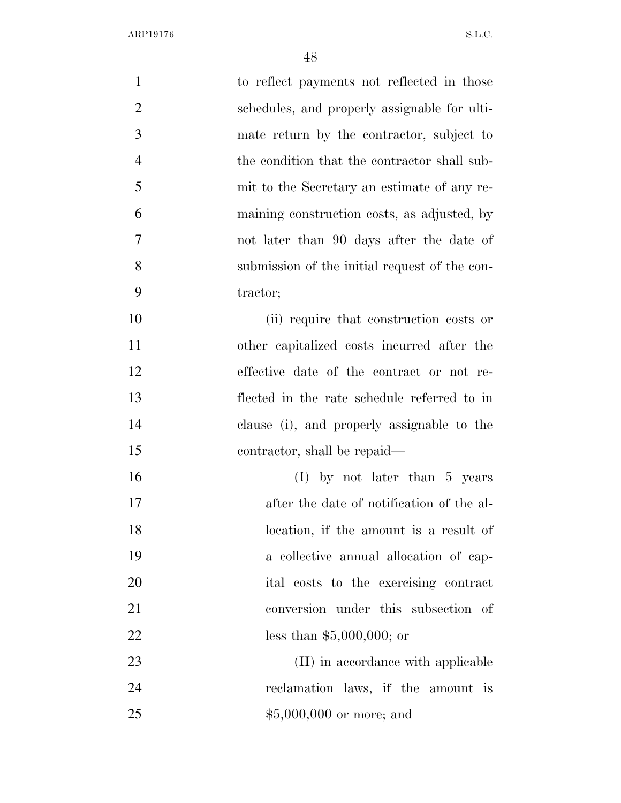| $\mathbf{1}$   | to reflect payments not reflected in those    |
|----------------|-----------------------------------------------|
| $\overline{2}$ | schedules, and properly assignable for ulti-  |
| 3              | mate return by the contractor, subject to     |
| $\overline{4}$ | the condition that the contractor shall sub-  |
| 5              | mit to the Secretary an estimate of any re-   |
| 6              | maining construction costs, as adjusted, by   |
| 7              | not later than 90 days after the date of      |
| 8              | submission of the initial request of the con- |
| 9              | tractor;                                      |
| 10             | (ii) require that construction costs or       |
| 11             | other capitalized costs incurred after the    |
| 12             | effective date of the contract or not re-     |
| 13             | flected in the rate schedule referred to in   |
| 14             | clause (i), and properly assignable to the    |
| 15             | contractor, shall be repaid—                  |
| 16             | $(I)$ by not later than 5 years               |
| 17             | after the date of notification of the al-     |
| 18             | location, if the amount is a result of        |
| 19             | a collective annual allocation of cap-        |
| 20             | ital costs to the exercising contract         |
| 21             | conversion under this subsection of           |
| 22             | less than $$5,000,000;$ or                    |
| 23             | (II) in accordance with applicable            |
| 24             | reclamation laws, if the amount is            |
| 25             | $$5,000,000$ or more; and                     |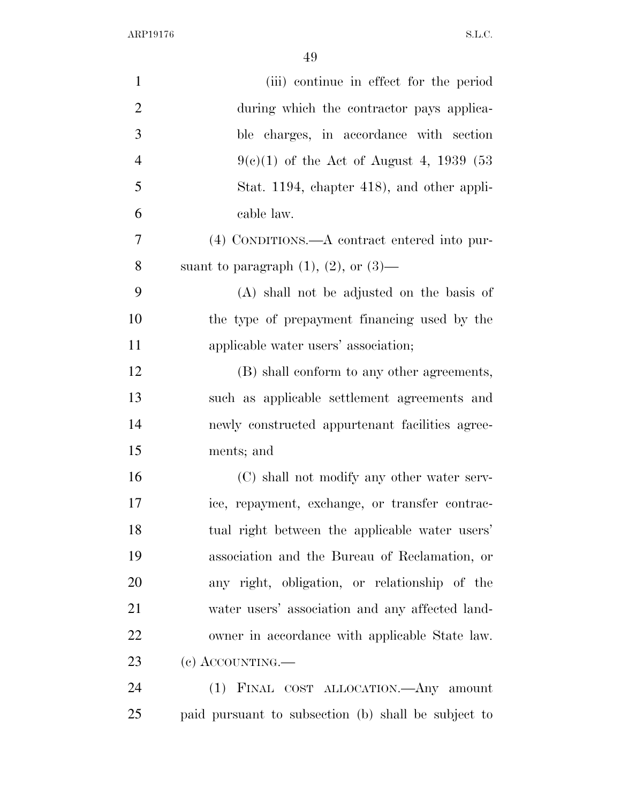| $\mathbf{1}$   | (iii) continue in effect for the period             |
|----------------|-----------------------------------------------------|
| $\overline{2}$ | during which the contractor pays applica-           |
| 3              | ble charges, in accordance with section             |
| 4              | $9(e)(1)$ of the Act of August 4, 1939 (53)         |
| 5              | Stat. 1194, chapter 418), and other appli-          |
| 6              | cable law.                                          |
| $\overline{7}$ | (4) CONDITIONS.—A contract entered into pur-        |
| 8              | suant to paragraph $(1)$ , $(2)$ , or $(3)$ —       |
| 9              | (A) shall not be adjusted on the basis of           |
| 10             | the type of prepayment financing used by the        |
| 11             | applicable water users' association;                |
| 12             | (B) shall conform to any other agreements,          |
| 13             | such as applicable settlement agreements and        |
| 14             | newly constructed appurtenant facilities agree-     |
| 15             | ments; and                                          |
| 16             | (C) shall not modify any other water serv-          |
| 17             | ice, repayment, exchange, or transfer contrac-      |
| 18             | tual right between the applicable water users'      |
| 19             | association and the Bureau of Reclamation, or       |
| 20             | any right, obligation, or relationship of the       |
| 21             | water users' association and any affected land-     |
| 22             | owner in accordance with applicable State law.      |
| 23             | $(e)$ ACCOUNTING.—                                  |
| 24             | (1) FINAL COST ALLOCATION. Any amount               |
| 25             | paid pursuant to subsection (b) shall be subject to |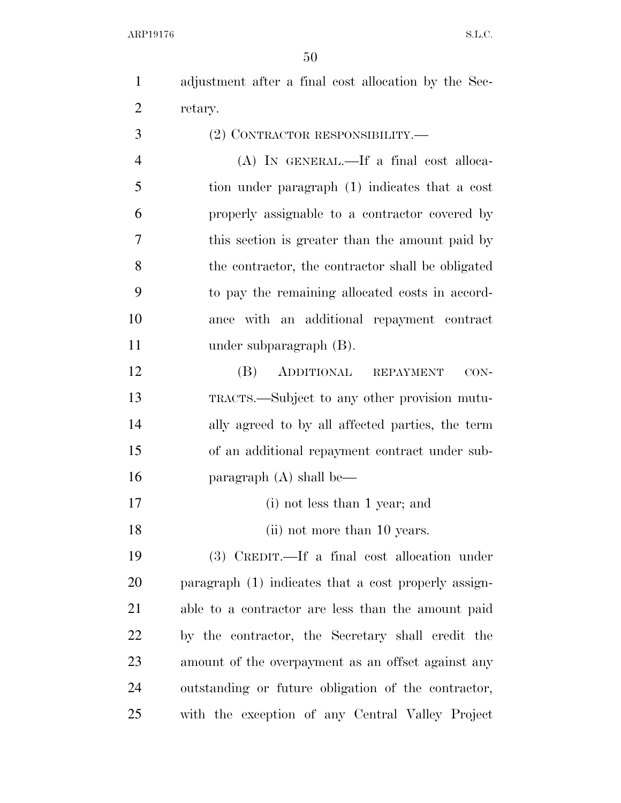adjustment after a final cost allocation by the Sec- retary. (2) CONTRACTOR RESPONSIBILITY.—

 (A) IN GENERAL.—If a final cost alloca- tion under paragraph (1) indicates that a cost properly assignable to a contractor covered by this section is greater than the amount paid by the contractor, the contractor shall be obligated to pay the remaining allocated costs in accord- ance with an additional repayment contract under subparagraph (B).

 (B) ADDITIONAL REPAYMENT CON- TRACTS.—Subject to any other provision mutu- ally agreed to by all affected parties, the term of an additional repayment contract under sub-paragraph (A) shall be—

(i) not less than 1 year; and

18 (ii) not more than 10 years.

 (3) CREDIT.—If a final cost allocation under paragraph (1) indicates that a cost properly assign- able to a contractor are less than the amount paid by the contractor, the Secretary shall credit the amount of the overpayment as an offset against any outstanding or future obligation of the contractor, with the exception of any Central Valley Project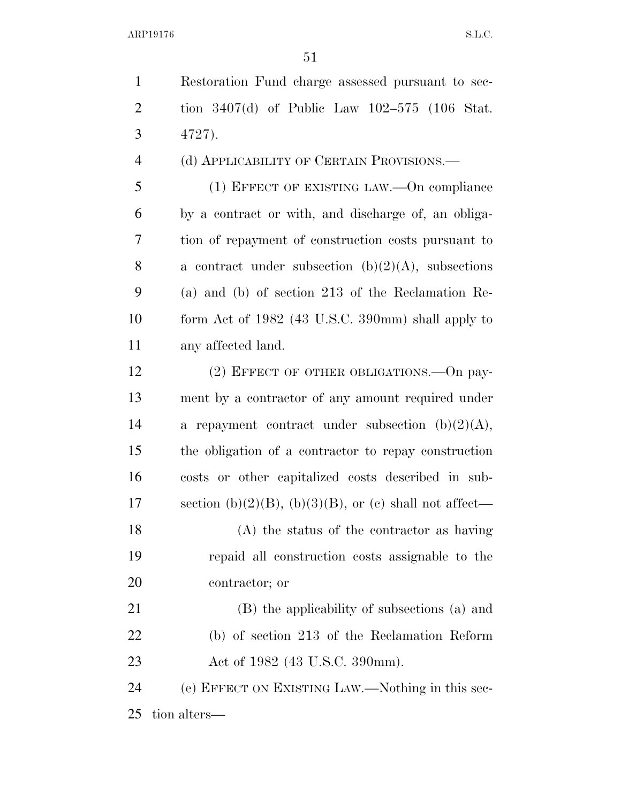| $\mathbf{1}$   | Restoration Fund charge assessed pursuant to sec-      |
|----------------|--------------------------------------------------------|
| $\overline{2}$ | tion $3407(d)$ of Public Law $102-575$ (106 Stat.      |
| 3              | 4727).                                                 |
| $\overline{4}$ | (d) APPLICABILITY OF CERTAIN PROVISIONS.—              |
| 5              | (1) EFFECT OF EXISTING LAW.—On compliance              |
| 6              | by a contract or with, and discharge of, an obliga-    |
| 7              | tion of repayment of construction costs pursuant to    |
| 8              | a contract under subsection $(b)(2)(A)$ , subsections  |
| 9              | (a) and (b) of section 213 of the Reclamation Re-      |
| 10             | form Act of 1982 (43 U.S.C. 390mm) shall apply to      |
| 11             | any affected land.                                     |
| 12             | $(2)$ EFFECT OF OTHER OBLIGATIONS.—On pay-             |
| 13             | ment by a contractor of any amount required under      |
| 14             | a repayment contract under subsection $(b)(2)(A)$ ,    |
| 15             | the obligation of a contractor to repay construction   |
| 16             | costs or other capitalized costs described in sub-     |
| 17             | section (b)(2)(B), (b)(3)(B), or (c) shall not affect— |
| 18             | (A) the status of the contractor as having             |
| 19             | repaid all construction costs assignable to the        |
| 20             | contractor; or                                         |
| 21             | (B) the applicability of subsections (a) and           |
| 22             | (b) of section 213 of the Reclamation Reform           |
| 23             | Act of 1982 (43 U.S.C. 390mm).                         |

 (e) EFFECT ON EXISTING LAW.—Nothing in this sec-tion alters—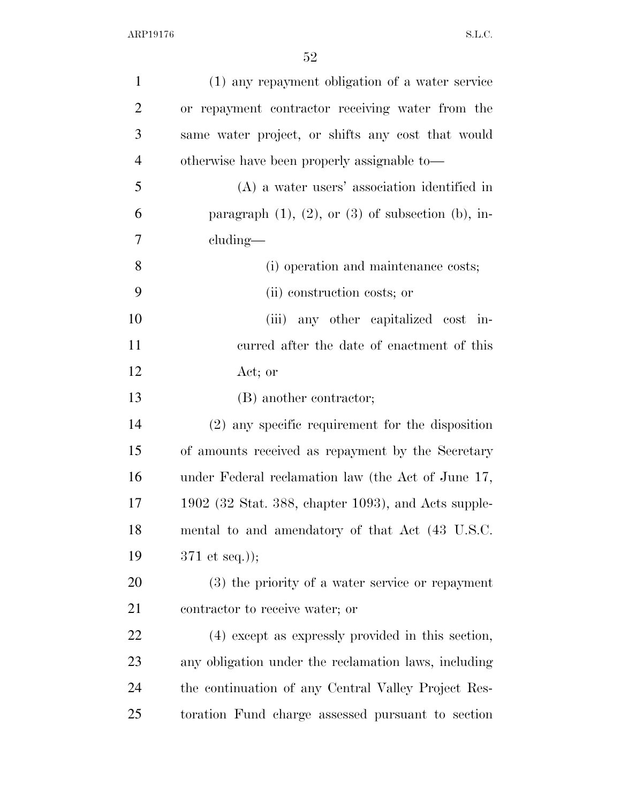| $\mathbf{1}$   | (1) any repayment obligation of a water service              |
|----------------|--------------------------------------------------------------|
| $\overline{2}$ | or repayment contractor receiving water from the             |
| 3              | same water project, or shifts any cost that would            |
| $\overline{4}$ | otherwise have been properly assignable to—                  |
| 5              | $(A)$ a water users' association identified in               |
| 6              | paragraph $(1)$ , $(2)$ , or $(3)$ of subsection $(b)$ , in- |
| 7              | cluding—                                                     |
| 8              | (i) operation and maintenance costs;                         |
| 9              | (ii) construction costs; or                                  |
| 10             | (iii) any other capitalized cost in-                         |
| 11             | curred after the date of enactment of this                   |
| 12             | Act; or                                                      |
| 13             | (B) another contractor;                                      |
| 14             | $(2)$ any specific requirement for the disposition           |
| 15             | of amounts received as repayment by the Secretary            |
| 16             | under Federal reclamation law (the Act of June 17,           |
| 17             | $1902$ (32 Stat. 388, chapter 1093), and Acts supple-        |
| 18             | mental to and amendatory of that Act (43 U.S.C.              |
| 19             | $371$ et seq.));                                             |
| 20             | (3) the priority of a water service or repayment             |
| 21             | contractor to receive water; or                              |
| 22             | (4) except as expressly provided in this section,            |
| 23             | any obligation under the reclamation laws, including         |
| 24             | the continuation of any Central Valley Project Res-          |
| 25             | toration Fund charge assessed pursuant to section            |